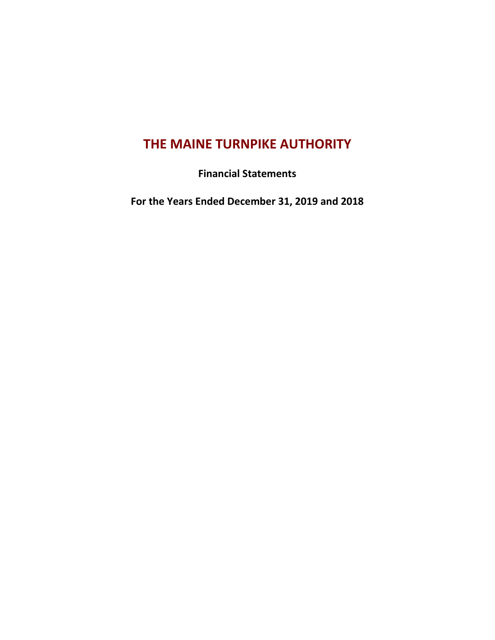# **THE MAINE TURNPIKE AUTHORITY**

**Financial Statements**

**For the Years Ended December 31, 2019 and 2018**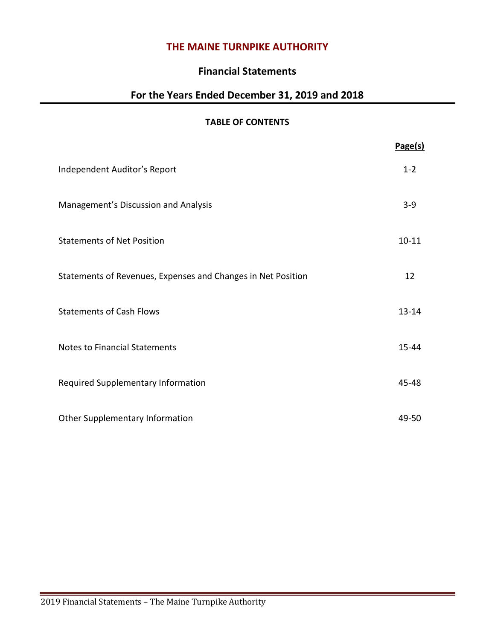# **THE MAINE TURNPIKE AUTHORITY**

## **Financial Statements**

# **For the Years Ended December 31, 2019 and 2018**

### **TABLE OF CONTENTS**

|                                                              | Page(s)   |
|--------------------------------------------------------------|-----------|
| Independent Auditor's Report                                 | $1 - 2$   |
| Management's Discussion and Analysis                         | $3 - 9$   |
| <b>Statements of Net Position</b>                            | $10 - 11$ |
| Statements of Revenues, Expenses and Changes in Net Position | 12        |
| <b>Statements of Cash Flows</b>                              | $13 - 14$ |
| <b>Notes to Financial Statements</b>                         | $15 - 44$ |
| Required Supplementary Information                           | 45-48     |
| Other Supplementary Information                              | 49-50     |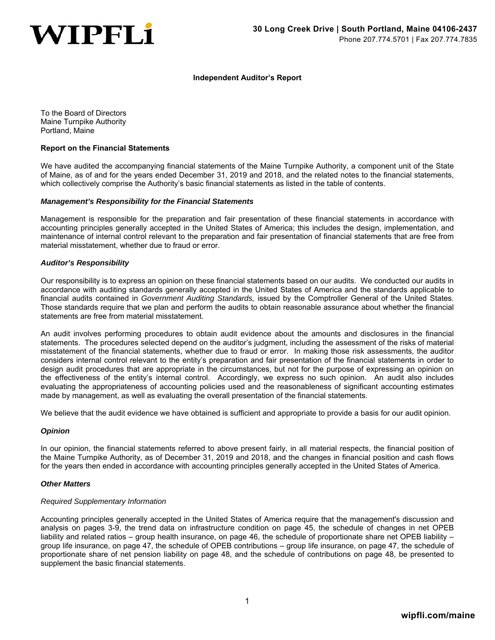

#### **Independent Auditor's Report**

To the Board of Directors Maine Turnpike Authority Portland, Maine

#### **Report on the Financial Statements**

We have audited the accompanying financial statements of the Maine Turnpike Authority, a component unit of the State of Maine, as of and for the years ended December 31, 2019 and 2018, and the related notes to the financial statements, which collectively comprise the Authority's basic financial statements as listed in the table of contents.

#### *Management's Responsibility for the Financial Statements*

Management is responsible for the preparation and fair presentation of these financial statements in accordance with accounting principles generally accepted in the United States of America; this includes the design, implementation, and maintenance of internal control relevant to the preparation and fair presentation of financial statements that are free from material misstatement, whether due to fraud or error.

#### *Auditor's Responsibility*

Our responsibility is to express an opinion on these financial statements based on our audits. We conducted our audits in accordance with auditing standards generally accepted in the United States of America and the standards applicable to financial audits contained in *Government Auditing Standards,* issued by the Comptroller General of the United States. Those standards require that we plan and perform the audits to obtain reasonable assurance about whether the financial statements are free from material misstatement.

An audit involves performing procedures to obtain audit evidence about the amounts and disclosures in the financial statements. The procedures selected depend on the auditor's judgment, including the assessment of the risks of material misstatement of the financial statements, whether due to fraud or error. In making those risk assessments, the auditor considers internal control relevant to the entity's preparation and fair presentation of the financial statements in order to design audit procedures that are appropriate in the circumstances, but not for the purpose of expressing an opinion on the effectiveness of the entity's internal control. Accordingly, we express no such opinion. An audit also includes evaluating the appropriateness of accounting policies used and the reasonableness of significant accounting estimates made by management, as well as evaluating the overall presentation of the financial statements.

We believe that the audit evidence we have obtained is sufficient and appropriate to provide a basis for our audit opinion.

#### *Opinion*

In our opinion, the financial statements referred to above present fairly, in all material respects, the financial position of the Maine Turnpike Authority, as of December 31, 2019 and 2018, and the changes in financial position and cash flows for the years then ended in accordance with accounting principles generally accepted in the United States of America.

#### *Other Matters*

#### *Required Supplementary Information*

Accounting principles generally accepted in the United States of America require that the management's discussion and analysis on pages 3-9, the trend data on infrastructure condition on page 45, the schedule of changes in net OPEB liability and related ratios – group health insurance, on page 46, the schedule of proportionate share net OPEB liability – group life insurance, on page 47, the schedule of OPEB contributions – group life insurance, on page 47, the schedule of proportionate share of net pension liability on page 48, and the schedule of contributions on page 48, be presented to supplement the basic financial statements.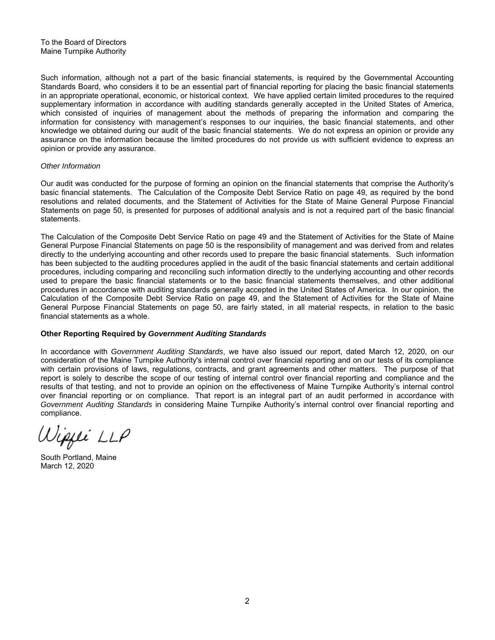Such information, although not a part of the basic financial statements, is required by the Governmental Accounting Standards Board, who considers it to be an essential part of financial reporting for placing the basic financial statements in an appropriate operational, economic, or historical context. We have applied certain limited procedures to the required supplementary information in accordance with auditing standards generally accepted in the United States of America, which consisted of inquiries of management about the methods of preparing the information and comparing the information for consistency with management's responses to our inquiries, the basic financial statements, and other knowledge we obtained during our audit of the basic financial statements. We do not express an opinion or provide any assurance on the information because the limited procedures do not provide us with sufficient evidence to express an opinion or provide any assurance.

#### *Other Information*

Our audit was conducted for the purpose of forming an opinion on the financial statements that comprise the Authority's basic financial statements. The Calculation of the Composite Debt Service Ratio on page 49, as required by the bond resolutions and related documents, and the Statement of Activities for the State of Maine General Purpose Financial Statements on page 50, is presented for purposes of additional analysis and is not a required part of the basic financial statements.

The Calculation of the Composite Debt Service Ratio on page 49 and the Statement of Activities for the State of Maine General Purpose Financial Statements on page 50 is the responsibility of management and was derived from and relates directly to the underlying accounting and other records used to prepare the basic financial statements. Such information has been subjected to the auditing procedures applied in the audit of the basic financial statements and certain additional procedures, including comparing and reconciling such information directly to the underlying accounting and other records used to prepare the basic financial statements or to the basic financial statements themselves, and other additional procedures in accordance with auditing standards generally accepted in the United States of America. In our opinion, the Calculation of the Composite Debt Service Ratio on page 49, and the Statement of Activities for the State of Maine General Purpose Financial Statements on page 50, are fairly stated, in all material respects, in relation to the basic financial statements as a whole.

#### **Other Reporting Required by** *Government Auditing Standards*

In accordance with *Government Auditing Standards*, we have also issued our report, dated March 12, 2020, on our consideration of the Maine Turnpike Authority's internal control over financial reporting and on our tests of its compliance with certain provisions of laws, regulations, contracts, and grant agreements and other matters. The purpose of that report is solely to describe the scope of our testing of internal control over financial reporting and compliance and the results of that testing, and not to provide an opinion on the effectiveness of Maine Turnpike Authority's internal control over financial reporting or on compliance. That report is an integral part of an audit performed in accordance with *Government Auditing Standards* in considering Maine Turnpike Authority's internal control over financial reporting and compliance.

Wippei LLP

South Portland, Maine March 12, 2020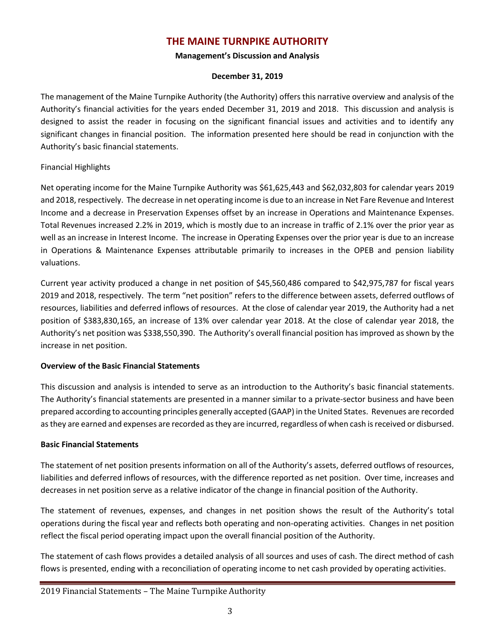# **THE MAINE TURNPIKE AUTHORITY**

### **Management's Discussion and Analysis**

### **December 31, 2019**

The management of the Maine Turnpike Authority (the Authority) offers this narrative overview and analysis of the Authority's financial activities for the years ended December 31, 2019 and 2018. This discussion and analysis is designed to assist the reader in focusing on the significant financial issues and activities and to identify any significant changes in financial position. The information presented here should be read in conjunction with the Authority's basic financial statements.

### Financial Highlights

Net operating income for the Maine Turnpike Authority was \$61,625,443 and \$62,032,803 for calendar years 2019 and 2018, respectively. The decrease in net operating income is due to an increase in Net Fare Revenue and Interest Income and a decrease in Preservation Expenses offset by an increase in Operations and Maintenance Expenses. Total Revenues increased 2.2% in 2019, which is mostly due to an increase in traffic of 2.1% over the prior year as well as an increase in Interest Income. The increase in Operating Expenses over the prior year is due to an increase in Operations & Maintenance Expenses attributable primarily to increases in the OPEB and pension liability valuations.

Current year activity produced a change in net position of \$45,560,486 compared to \$42,975,787 for fiscal years 2019 and 2018, respectively. The term "net position" refers to the difference between assets, deferred outflows of resources, liabilities and deferred inflows of resources. At the close of calendar year 2019, the Authority had a net position of \$383,830,165, an increase of 13% over calendar year 2018. At the close of calendar year 2018, the Authority's net position was \$338,550,390. The Authority's overall financial position has improved as shown by the increase in net position.

### **Overview of the Basic Financial Statements**

This discussion and analysis is intended to serve as an introduction to the Authority's basic financial statements. The Authority's financial statements are presented in a manner similar to a private-sector business and have been prepared according to accounting principles generally accepted (GAAP) in the United States. Revenues are recorded as they are earned and expenses are recorded as they are incurred, regardless of when cash is received or disbursed.

### **Basic Financial Statements**

The statement of net position presents information on all of the Authority's assets, deferred outflows of resources, liabilities and deferred inflows of resources, with the difference reported as net position. Over time, increases and decreases in net position serve as a relative indicator of the change in financial position of the Authority.

The statement of revenues, expenses, and changes in net position shows the result of the Authority's total operations during the fiscal year and reflects both operating and non-operating activities. Changes in net position reflect the fiscal period operating impact upon the overall financial position of the Authority.

The statement of cash flows provides a detailed analysis of all sources and uses of cash. The direct method of cash flows is presented, ending with a reconciliation of operating income to net cash provided by operating activities.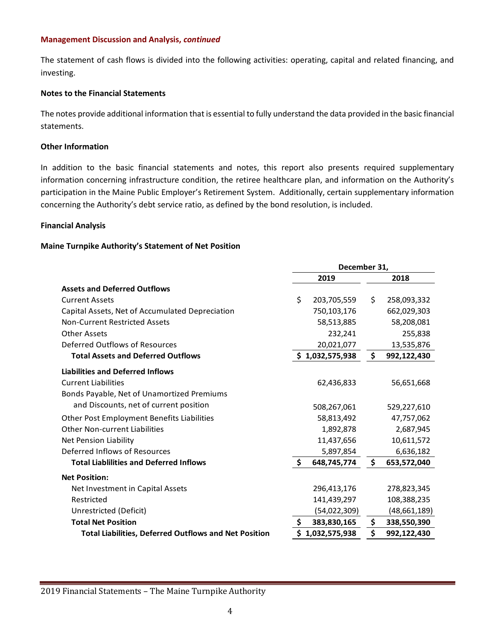The statement of cash flows is divided into the following activities: operating, capital and related financing, and investing.

### **Notes to the Financial Statements**

The notes provide additional information that is essential to fully understand the data provided in the basic financial statements.

### **Other Information**

In addition to the basic financial statements and notes, this report also presents required supplementary information concerning infrastructure condition, the retiree healthcare plan, and information on the Authority's participation in the Maine Public Employer's Retirement System. Additionally, certain supplementary information concerning the Authority's debt service ratio, as defined by the bond resolution, is included.

### **Financial Analysis**

### **Maine Turnpike Authority's Statement of Net Position**

|                                                              | December 31, |                 |    |              |
|--------------------------------------------------------------|--------------|-----------------|----|--------------|
|                                                              | 2019         |                 |    | 2018         |
| <b>Assets and Deferred Outflows</b>                          |              |                 |    |              |
| <b>Current Assets</b>                                        | \$           | 203,705,559     | \$ | 258,093,332  |
| Capital Assets, Net of Accumulated Depreciation              |              | 750,103,176     |    | 662,029,303  |
| <b>Non-Current Restricted Assets</b>                         |              | 58,513,885      |    | 58,208,081   |
| <b>Other Assets</b>                                          |              | 232,241         |    | 255,838      |
| Deferred Outflows of Resources                               |              | 20,021,077      |    | 13,535,876   |
| <b>Total Assets and Deferred Outflows</b>                    |              | \$1,032,575,938 | \$ | 992,122,430  |
| <b>Liabilities and Deferred Inflows</b>                      |              |                 |    |              |
| <b>Current Liabilities</b>                                   |              | 62,436,833      |    | 56,651,668   |
| Bonds Payable, Net of Unamortized Premiums                   |              |                 |    |              |
| and Discounts, net of current position                       |              | 508,267,061     |    | 529,227,610  |
| Other Post Employment Benefits Liabilities                   |              | 58,813,492      |    | 47,757,062   |
| <b>Other Non-current Liabilities</b>                         |              | 1,892,878       |    | 2,687,945    |
| <b>Net Pension Liability</b>                                 |              | 11,437,656      |    | 10,611,572   |
| Deferred Inflows of Resources                                |              | 5,897,854       |    | 6,636,182    |
| <b>Total Liablilities and Deferred Inflows</b>               | $\mathsf{S}$ | 648,745,774     | \$ | 653,572,040  |
| <b>Net Position:</b>                                         |              |                 |    |              |
| Net Investment in Capital Assets                             |              | 296,413,176     |    | 278,823,345  |
| Restricted                                                   |              | 141,439,297     |    | 108,388,235  |
| Unrestricted (Deficit)                                       |              | (54,022,309)    |    | (48,661,189) |
| <b>Total Net Position</b>                                    | \$           | 383,830,165     | \$ | 338,550,390  |
| <b>Total Liabilities, Deferred Outflows and Net Position</b> | \$           | 1,032,575,938   | \$ | 992,122,430  |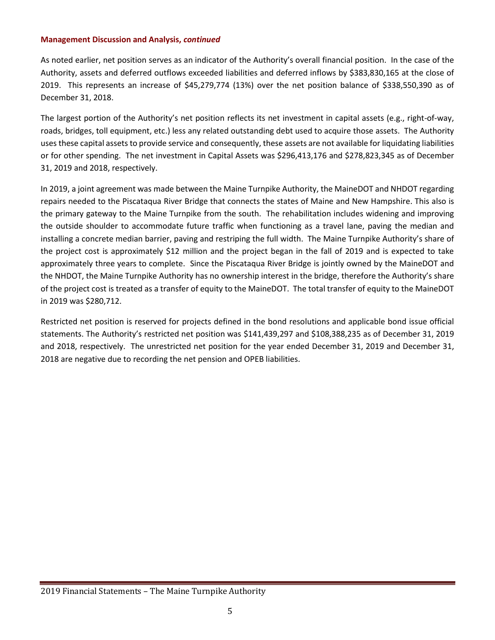As noted earlier, net position serves as an indicator of the Authority's overall financial position. In the case of the Authority, assets and deferred outflows exceeded liabilities and deferred inflows by \$383,830,165 at the close of 2019. This represents an increase of \$45,279,774 (13%) over the net position balance of \$338,550,390 as of December 31, 2018.

The largest portion of the Authority's net position reflects its net investment in capital assets (e.g., right-of-way, roads, bridges, toll equipment, etc.) less any related outstanding debt used to acquire those assets. The Authority uses these capital assets to provide service and consequently, these assets are not available for liquidating liabilities or for other spending. The net investment in Capital Assets was \$296,413,176 and \$278,823,345 as of December 31, 2019 and 2018, respectively.

In 2019, a joint agreement was made between the Maine Turnpike Authority, the MaineDOT and NHDOT regarding repairs needed to the Piscataqua River Bridge that connects the states of Maine and New Hampshire. This also is the primary gateway to the Maine Turnpike from the south. The rehabilitation includes widening and improving the outside shoulder to accommodate future traffic when functioning as a travel lane, paving the median and installing a concrete median barrier, paving and restriping the full width. The Maine Turnpike Authority's share of the project cost is approximately \$12 million and the project began in the fall of 2019 and is expected to take approximately three years to complete. Since the Piscataqua River Bridge is jointly owned by the MaineDOT and the NHDOT, the Maine Turnpike Authority has no ownership interest in the bridge, therefore the Authority's share of the project cost is treated as a transfer of equity to the MaineDOT. The total transfer of equity to the MaineDOT in 2019 was \$280,712.

Restricted net position is reserved for projects defined in the bond resolutions and applicable bond issue official statements. The Authority's restricted net position was \$141,439,297 and \$108,388,235 as of December 31, 2019 and 2018, respectively. The unrestricted net position for the year ended December 31, 2019 and December 31, 2018 are negative due to recording the net pension and OPEB liabilities.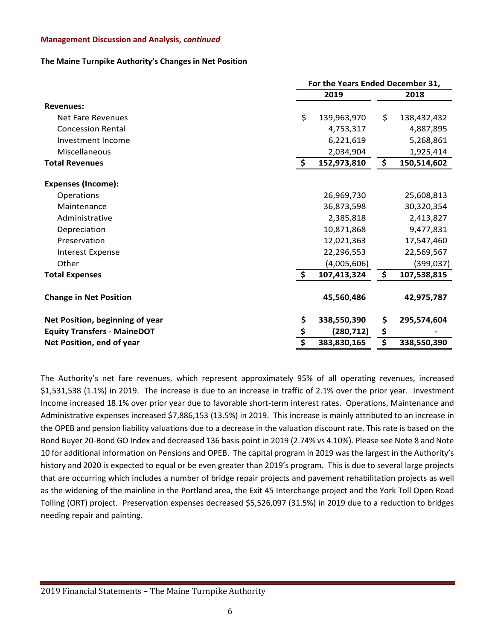### **The Maine Turnpike Authority's Changes in Net Position**

|                                    | For the Years Ended December 31, |                   |    |             |  |
|------------------------------------|----------------------------------|-------------------|----|-------------|--|
|                                    |                                  | 2019              |    |             |  |
| <b>Revenues:</b>                   |                                  |                   |    |             |  |
| <b>Net Fare Revenues</b>           | \$                               | 139,963,970       | \$ | 138,432,432 |  |
| <b>Concession Rental</b>           |                                  | 4,753,317         |    | 4,887,895   |  |
| Investment Income                  |                                  | 6,221,619         |    | 5,268,861   |  |
| Miscellaneous                      |                                  | 2,034,904         |    | 1,925,414   |  |
| <b>Total Revenues</b>              | \$                               | 152,973,810       | \$ | 150,514,602 |  |
| <b>Expenses (Income):</b>          |                                  |                   |    |             |  |
| Operations                         |                                  | 26,969,730        |    | 25,608,813  |  |
| Maintenance                        |                                  | 36,873,598        |    | 30,320,354  |  |
| Administrative                     |                                  | 2,385,818         |    | 2,413,827   |  |
| Depreciation                       |                                  | 10,871,868        |    | 9,477,831   |  |
| Preservation                       |                                  | 12,021,363        |    | 17,547,460  |  |
| <b>Interest Expense</b>            |                                  | 22,296,553        |    | 22,569,567  |  |
| Other                              |                                  | (4,005,606)       |    | (399, 037)  |  |
| <b>Total Expenses</b>              | $\frac{1}{2}$                    | 107,413,324       | \$ | 107,538,815 |  |
| <b>Change in Net Position</b>      |                                  | 45,560,486        |    | 42,975,787  |  |
| Net Position, beginning of year    | \$                               | 338,550,390       | \$ | 295,574,604 |  |
| <b>Equity Transfers - MaineDOT</b> |                                  | (280, 712)        | \$ |             |  |
| Net Position, end of year          | \$                               | \$<br>383,830,165 |    |             |  |

The Authority's net fare revenues, which represent approximately 95% of all operating revenues, increased \$1,531,538 (1.1%) in 2019. The increase is due to an increase in traffic of 2.1% over the prior year. Investment Income increased 18.1% over prior year due to favorable short-term interest rates. Operations, Maintenance and Administrative expenses increased \$7,886,153 (13.5%) in 2019. This increase is mainly attributed to an increase in the OPEB and pension liability valuations due to a decrease in the valuation discount rate. This rate is based on the Bond Buyer 20-Bond GO Index and decreased 136 basis point in 2019 (2.74% vs 4.10%). Please see Note 8 and Note 10 for additional information on Pensions and OPEB. The capital program in 2019 was the largest in the Authority's history and 2020 is expected to equal or be even greater than 2019's program. This is due to several large projects that are occurring which includes a number of bridge repair projects and pavement rehabilitation projects as well as the widening of the mainline in the Portland area, the Exit 45 Interchange project and the York Toll Open Road Tolling (ORT) project. Preservation expenses decreased \$5,526,097 (31.5%) in 2019 due to a reduction to bridges needing repair and painting.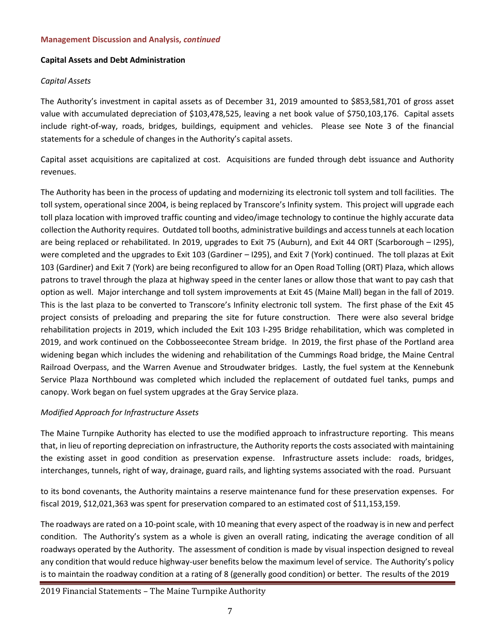### **Capital Assets and Debt Administration**

### *Capital Assets*

The Authority's investment in capital assets as of December 31, 2019 amounted to \$853,581,701 of gross asset value with accumulated depreciation of \$103,478,525, leaving a net book value of \$750,103,176. Capital assets include right-of-way, roads, bridges, buildings, equipment and vehicles. Please see Note 3 of the financial statements for a schedule of changes in the Authority's capital assets.

Capital asset acquisitions are capitalized at cost. Acquisitions are funded through debt issuance and Authority revenues.

The Authority has been in the process of updating and modernizing its electronic toll system and toll facilities. The toll system, operational since 2004, is being replaced by Transcore's Infinity system. This project will upgrade each toll plaza location with improved traffic counting and video/image technology to continue the highly accurate data collection the Authority requires. Outdated toll booths, administrative buildings and access tunnels at each location are being replaced or rehabilitated. In 2019, upgrades to Exit 75 (Auburn), and Exit 44 ORT (Scarborough – I295), were completed and the upgrades to Exit 103 (Gardiner – I295), and Exit 7 (York) continued. The toll plazas at Exit 103 (Gardiner) and Exit 7 (York) are being reconfigured to allow for an Open Road Tolling (ORT) Plaza, which allows patrons to travel through the plaza at highway speed in the center lanes or allow those that want to pay cash that option as well. Major interchange and toll system improvements at Exit 45 (Maine Mall) began in the fall of 2019. This is the last plaza to be converted to Transcore's Infinity electronic toll system. The first phase of the Exit 45 project consists of preloading and preparing the site for future construction. There were also several bridge rehabilitation projects in 2019, which included the Exit 103 I-295 Bridge rehabilitation, which was completed in 2019, and work continued on the Cobbosseecontee Stream bridge. In 2019, the first phase of the Portland area widening began which includes the widening and rehabilitation of the Cummings Road bridge, the Maine Central Railroad Overpass, and the Warren Avenue and Stroudwater bridges. Lastly, the fuel system at the Kennebunk Service Plaza Northbound was completed which included the replacement of outdated fuel tanks, pumps and canopy. Work began on fuel system upgrades at the Gray Service plaza.

### *Modified Approach for Infrastructure Assets*

The Maine Turnpike Authority has elected to use the modified approach to infrastructure reporting. This means that, in lieu of reporting depreciation on infrastructure, the Authority reports the costs associated with maintaining the existing asset in good condition as preservation expense. Infrastructure assets include: roads, bridges, interchanges, tunnels, right of way, drainage, guard rails, and lighting systems associated with the road. Pursuant

to its bond covenants, the Authority maintains a reserve maintenance fund for these preservation expenses. For fiscal 2019, \$12,021,363 was spent for preservation compared to an estimated cost of \$11,153,159.

The roadways are rated on a 10-point scale, with 10 meaning that every aspect of the roadway is in new and perfect condition. The Authority's system as a whole is given an overall rating, indicating the average condition of all roadways operated by the Authority. The assessment of condition is made by visual inspection designed to reveal any condition that would reduce highway-user benefits below the maximum level of service. The Authority's policy is to maintain the roadway condition at a rating of 8 (generally good condition) or better. The results of the 2019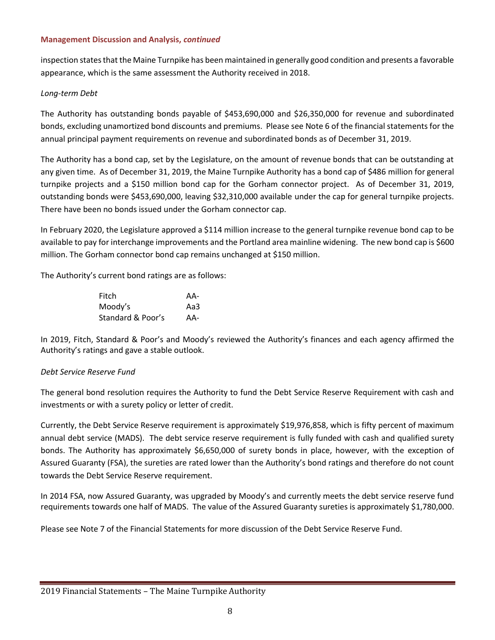inspection states that the Maine Turnpike has been maintained in generally good condition and presents a favorable appearance, which is the same assessment the Authority received in 2018.

### *Long-term Debt*

The Authority has outstanding bonds payable of \$453,690,000 and \$26,350,000 for revenue and subordinated bonds, excluding unamortized bond discounts and premiums. Please see Note 6 of the financial statements for the annual principal payment requirements on revenue and subordinated bonds as of December 31, 2019.

The Authority has a bond cap, set by the Legislature, on the amount of revenue bonds that can be outstanding at any given time. As of December 31, 2019, the Maine Turnpike Authority has a bond cap of \$486 million for general turnpike projects and a \$150 million bond cap for the Gorham connector project. As of December 31, 2019, outstanding bonds were \$453,690,000, leaving \$32,310,000 available under the cap for general turnpike projects. There have been no bonds issued under the Gorham connector cap.

In February 2020, the Legislature approved a \$114 million increase to the general turnpike revenue bond cap to be available to pay for interchange improvements and the Portland area mainline widening. The new bond cap is \$600 million. The Gorham connector bond cap remains unchanged at \$150 million.

The Authority's current bond ratings are as follows:

| Fitch             | AA- |
|-------------------|-----|
| Moody's           | Aa3 |
| Standard & Poor's | AA- |

In 2019, Fitch, Standard & Poor's and Moody's reviewed the Authority's finances and each agency affirmed the Authority's ratings and gave a stable outlook.

### *Debt Service Reserve Fund*

The general bond resolution requires the Authority to fund the Debt Service Reserve Requirement with cash and investments or with a surety policy or letter of credit.

Currently, the Debt Service Reserve requirement is approximately \$19,976,858, which is fifty percent of maximum annual debt service (MADS). The debt service reserve requirement is fully funded with cash and qualified surety bonds. The Authority has approximately \$6,650,000 of surety bonds in place, however, with the exception of Assured Guaranty (FSA), the sureties are rated lower than the Authority's bond ratings and therefore do not count towards the Debt Service Reserve requirement.

In 2014 FSA, now Assured Guaranty, was upgraded by Moody's and currently meets the debt service reserve fund requirements towards one half of MADS. The value of the Assured Guaranty sureties is approximately \$1,780,000.

Please see Note 7 of the Financial Statements for more discussion of the Debt Service Reserve Fund.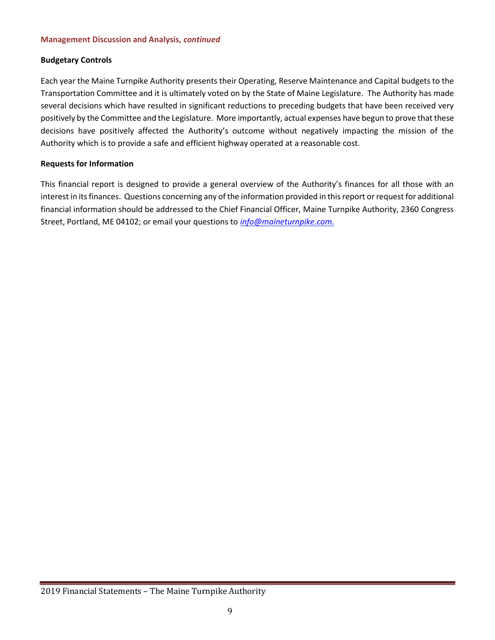### **Budgetary Controls**

Each year the Maine Turnpike Authority presents their Operating, Reserve Maintenance and Capital budgets to the Transportation Committee and it is ultimately voted on by the State of Maine Legislature. The Authority has made several decisions which have resulted in significant reductions to preceding budgets that have been received very positively by the Committee and the Legislature. More importantly, actual expenses have begun to prove that these decisions have positively affected the Authority's outcome without negatively impacting the mission of the Authority which is to provide a safe and efficient highway operated at a reasonable cost.

### **Requests for Information**

This financial report is designed to provide a general overview of the Authority's finances for all those with an interest in its finances. Questions concerning any of the information provided in this report or request for additional financial information should be addressed to the Chief Financial Officer, Maine Turnpike Authority, 2360 Congress Street, Portland, ME 04102; or email your questions to *[info@maineturnpike.com.](mailto:info@maineturnpike.com)*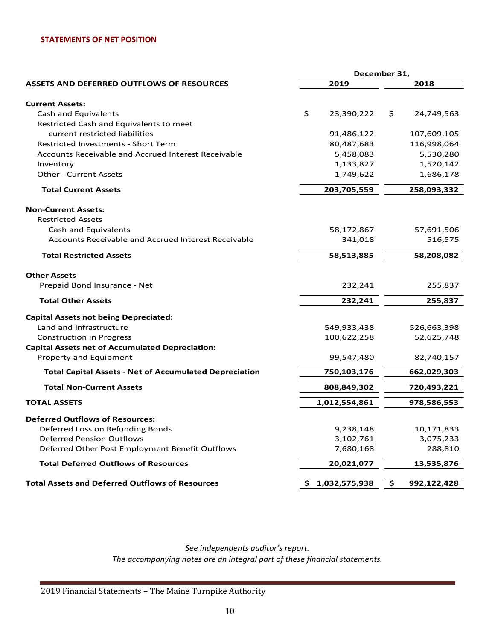### **STATEMENTS OF NET POSITION**

|                                                               | December 31,        |                   |  |  |
|---------------------------------------------------------------|---------------------|-------------------|--|--|
| <b>ASSETS AND DEFERRED OUTFLOWS OF RESOURCES</b>              | 2019                | 2018              |  |  |
| <b>Current Assets:</b>                                        |                     |                   |  |  |
| Cash and Equivalents                                          | \$<br>23,390,222    | \$.<br>24,749,563 |  |  |
| Restricted Cash and Equivalents to meet                       |                     |                   |  |  |
| current restricted liabilities                                | 91,486,122          | 107,609,105       |  |  |
| <b>Restricted Investments - Short Term</b>                    | 80,487,683          | 116,998,064       |  |  |
| <b>Accounts Receivable and Accrued Interest Receivable</b>    |                     | 5,530,280         |  |  |
|                                                               | 5,458,083           |                   |  |  |
| Inventory                                                     | 1,133,827           | 1,520,142         |  |  |
| <b>Other - Current Assets</b>                                 | 1,749,622           | 1,686,178         |  |  |
| <b>Total Current Assets</b>                                   | 203,705,559         | 258,093,332       |  |  |
| <b>Non-Current Assets:</b>                                    |                     |                   |  |  |
| <b>Restricted Assets</b>                                      |                     |                   |  |  |
| Cash and Equivalents                                          | 58,172,867          | 57,691,506        |  |  |
| Accounts Receivable and Accrued Interest Receivable           | 341,018             | 516,575           |  |  |
| <b>Total Restricted Assets</b>                                | 58,208,082          |                   |  |  |
| <b>Other Assets</b>                                           |                     |                   |  |  |
| Prepaid Bond Insurance - Net                                  | 232,241             | 255,837           |  |  |
| <b>Total Other Assets</b>                                     | 232,241             | 255,837           |  |  |
| <b>Capital Assets not being Depreciated:</b>                  |                     |                   |  |  |
| Land and Infrastructure                                       | 549,933,438         | 526,663,398       |  |  |
| <b>Construction in Progress</b>                               | 100,622,258         | 52,625,748        |  |  |
| <b>Capital Assets net of Accumulated Depreciation:</b>        |                     |                   |  |  |
| Property and Equipment                                        | 99,547,480          | 82,740,157        |  |  |
| <b>Total Capital Assets - Net of Accumulated Depreciation</b> | 750,103,176         | 662,029,303       |  |  |
| <b>Total Non-Current Assets</b>                               | 808,849,302         | 720,493,221       |  |  |
| <b>TOTAL ASSETS</b>                                           | 1,012,554,861       | 978,586,553       |  |  |
| <b>Deferred Outflows of Resources:</b>                        |                     |                   |  |  |
| Deferred Loss on Refunding Bonds                              | 9,238,148           | 10,171,833        |  |  |
| <b>Deferred Pension Outflows</b>                              | 3,102,761           | 3,075,233         |  |  |
| Deferred Other Post Employment Benefit Outflows               | 7,680,168           | 288,810           |  |  |
| <b>Total Deferred Outflows of Resources</b>                   | 20,021,077          | 13,535,876        |  |  |
|                                                               |                     |                   |  |  |
| <b>Total Assets and Deferred Outflows of Resources</b>        | 1,032,575,938<br>Ş. | \$<br>992,122,428 |  |  |

*See independents auditor's report. The accompanying notes are an integral part of these financial statements.*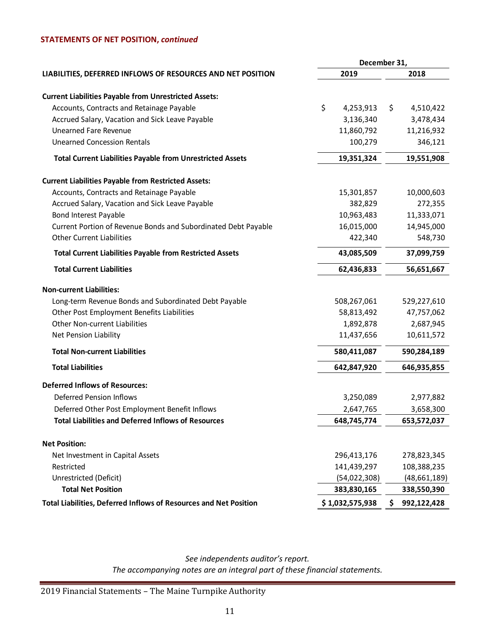### **STATEMENTS OF NET POSITION,** *continued*

|                                                                   |                 | December 31,      |
|-------------------------------------------------------------------|-----------------|-------------------|
| LIABILITIES, DEFERRED INFLOWS OF RESOURCES AND NET POSITION       | 2019            | 2018              |
| <b>Current Liabilities Payable from Unrestricted Assets:</b>      |                 |                   |
| Accounts, Contracts and Retainage Payable                         | \$<br>4,253,913 | \$<br>4,510,422   |
| Accrued Salary, Vacation and Sick Leave Payable                   | 3,136,340       | 3,478,434         |
| <b>Unearned Fare Revenue</b>                                      | 11,860,792      | 11,216,932        |
| <b>Unearned Concession Rentals</b>                                | 100,279         | 346,121           |
| <b>Total Current Liabilities Payable from Unrestricted Assets</b> | 19,351,324      | 19,551,908        |
| <b>Current Liabilities Payable from Restricted Assets:</b>        |                 |                   |
| Accounts, Contracts and Retainage Payable                         | 15,301,857      | 10,000,603        |
| Accrued Salary, Vacation and Sick Leave Payable                   | 382,829         | 272,355           |
| Bond Interest Payable                                             | 10,963,483      | 11,333,071        |
| Current Portion of Revenue Bonds and Subordinated Debt Payable    | 16,015,000      | 14,945,000        |
| <b>Other Current Liabilities</b>                                  | 422,340         | 548,730           |
| <b>Total Current Liabilities Payable from Restricted Assets</b>   | 43,085,509      | 37,099,759        |
| <b>Total Current Liabilities</b>                                  | 62,436,833      | 56,651,667        |
| <b>Non-current Liabilities:</b>                                   |                 |                   |
| Long-term Revenue Bonds and Subordinated Debt Payable             | 508,267,061     | 529,227,610       |
| Other Post Employment Benefits Liabilities                        | 58,813,492      | 47,757,062        |
| <b>Other Non-current Liabilities</b>                              | 1,892,878       | 2,687,945         |
| Net Pension Liability                                             | 11,437,656      | 10,611,572        |
| <b>Total Non-current Liabilities</b>                              | 580,411,087     | 590,284,189       |
| <b>Total Liabilities</b>                                          | 642,847,920     | 646,935,855       |
| <b>Deferred Inflows of Resources:</b>                             |                 |                   |
| <b>Deferred Pension Inflows</b>                                   | 3,250,089       | 2,977,882         |
| Deferred Other Post Employment Benefit Inflows                    | 2,647,765       | 3,658,300         |
| <b>Total Liabilities and Deferred Inflows of Resources</b>        | 648,745,774     | 653,572,037       |
| <b>Net Position:</b>                                              |                 |                   |
| Net Investment in Capital Assets                                  | 296,413,176     | 278,823,345       |
| Restricted                                                        | 141,439,297     | 108,388,235       |
| Unrestricted (Deficit)                                            | (54,022,308)    | (48,661,189)      |
| <b>Total Net Position</b>                                         | 383,830,165     | 338,550,390       |
| Total Liabilities, Deferred Inflows of Resources and Net Position | \$1,032,575,938 | 992,122,428<br>\$ |
|                                                                   |                 |                   |

*See independents auditor's report. The accompanying notes are an integral part of these financial statements.*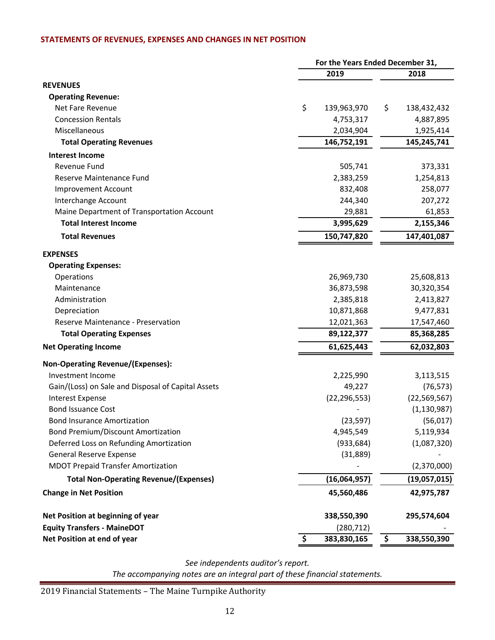### **STATEMENTS OF REVENUES, EXPENSES AND CHANGES IN NET POSITION**

|                                                    | For the Years Ended December 31, |                   |  |  |
|----------------------------------------------------|----------------------------------|-------------------|--|--|
|                                                    | 2019                             | 2018              |  |  |
| <b>REVENUES</b>                                    |                                  |                   |  |  |
| <b>Operating Revenue:</b>                          |                                  |                   |  |  |
| Net Fare Revenue                                   | \$<br>139,963,970                | \$<br>138,432,432 |  |  |
| <b>Concession Rentals</b>                          | 4,753,317                        | 4,887,895         |  |  |
| Miscellaneous                                      | 2,034,904                        | 1,925,414         |  |  |
| <b>Total Operating Revenues</b>                    | 146,752,191                      | 145,245,741       |  |  |
| <b>Interest Income</b>                             |                                  |                   |  |  |
| Revenue Fund                                       | 505,741                          | 373,331           |  |  |
| Reserve Maintenance Fund                           | 2,383,259                        | 1,254,813         |  |  |
| <b>Improvement Account</b>                         | 832,408                          | 258,077           |  |  |
| Interchange Account                                | 244,340                          | 207,272           |  |  |
| Maine Department of Transportation Account         | 29,881                           | 61,853            |  |  |
| <b>Total Interest Income</b>                       | 3,995,629                        | 2,155,346         |  |  |
| <b>Total Revenues</b>                              | 150,747,820                      | 147,401,087       |  |  |
| <b>EXPENSES</b>                                    |                                  |                   |  |  |
| <b>Operating Expenses:</b>                         |                                  |                   |  |  |
| Operations                                         | 26,969,730                       | 25,608,813        |  |  |
| Maintenance                                        | 36,873,598                       | 30,320,354        |  |  |
| Administration                                     | 2,385,818                        | 2,413,827         |  |  |
| Depreciation                                       | 10,871,868                       | 9,477,831         |  |  |
| Reserve Maintenance - Preservation                 | 12,021,363                       | 17,547,460        |  |  |
| <b>Total Operating Expenses</b>                    | 89,122,377                       | 85,368,285        |  |  |
| <b>Net Operating Income</b>                        | 61,625,443                       | 62,032,803        |  |  |
| <b>Non-Operating Revenue/(Expenses):</b>           |                                  |                   |  |  |
| Investment Income                                  | 2,225,990                        | 3,113,515         |  |  |
| Gain/(Loss) on Sale and Disposal of Capital Assets | 49,227                           | (76, 573)         |  |  |
| <b>Interest Expense</b>                            | (22, 296, 553)                   | (22, 569, 567)    |  |  |
| <b>Bond Issuance Cost</b>                          |                                  | (1, 130, 987)     |  |  |
| <b>Bond Insurance Amortization</b>                 | (23, 597)                        | (56, 017)         |  |  |
| <b>Bond Premium/Discount Amortization</b>          | 4,945,549                        | 5,119,934         |  |  |
| Deferred Loss on Refunding Amortization            | (933, 684)                       | (1,087,320)       |  |  |
| General Reserve Expense                            | (31,889)                         |                   |  |  |
| <b>MDOT Prepaid Transfer Amortization</b>          |                                  | (2,370,000)       |  |  |
| <b>Total Non-Operating Revenue/(Expenses)</b>      | (16,064,957)                     | (19,057,015)      |  |  |
| <b>Change in Net Position</b>                      | 45,560,486                       | 42,975,787        |  |  |
| Net Position at beginning of year                  | 338,550,390                      | 295,574,604       |  |  |
| <b>Equity Transfers - MaineDOT</b>                 | (280, 712)                       |                   |  |  |
| Net Position at end of year                        | \$<br>383,830,165                | \$<br>338,550,390 |  |  |

*See independents auditor's report.*

*The accompanying notes are an integral part of these financial statements.*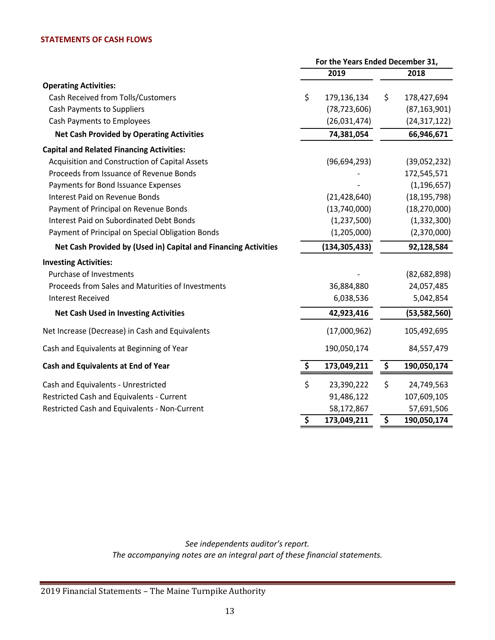### **STATEMENTS OF CASH FLOWS**

|                                                                 | For the Years Ended December 31, |                 |                                 |                |
|-----------------------------------------------------------------|----------------------------------|-----------------|---------------------------------|----------------|
|                                                                 |                                  | 2019            |                                 | 2018           |
| <b>Operating Activities:</b>                                    |                                  |                 |                                 |                |
| Cash Received from Tolls/Customers                              | \$                               | 179,136,134     | \$                              | 178,427,694    |
| <b>Cash Payments to Suppliers</b>                               |                                  | (78, 723, 606)  |                                 | (87, 163, 901) |
| Cash Payments to Employees                                      |                                  | (26,031,474)    |                                 | (24, 317, 122) |
| <b>Net Cash Provided by Operating Activities</b>                |                                  | 74,381,054      |                                 | 66,946,671     |
| <b>Capital and Related Financing Activities:</b>                |                                  |                 |                                 |                |
| Acquisition and Construction of Capital Assets                  |                                  | (96, 694, 293)  |                                 | (39,052,232)   |
| Proceeds from Issuance of Revenue Bonds                         |                                  |                 |                                 | 172,545,571    |
| Payments for Bond Issuance Expenses                             |                                  |                 |                                 | (1, 196, 657)  |
| <b>Interest Paid on Revenue Bonds</b>                           |                                  | (21, 428, 640)  |                                 | (18, 195, 798) |
| Payment of Principal on Revenue Bonds                           |                                  | (13,740,000)    |                                 | (18, 270, 000) |
| <b>Interest Paid on Subordinated Debt Bonds</b>                 |                                  | (1, 237, 500)   |                                 | (1, 332, 300)  |
| Payment of Principal on Special Obligation Bonds                |                                  | (1,205,000)     |                                 | (2,370,000)    |
| Net Cash Provided by (Used in) Capital and Financing Activities |                                  | (134, 305, 433) |                                 | 92,128,584     |
| <b>Investing Activities:</b>                                    |                                  |                 |                                 |                |
| <b>Purchase of Investments</b>                                  |                                  |                 |                                 | (82, 682, 898) |
| Proceeds from Sales and Maturities of Investments               |                                  | 36,884,880      |                                 | 24,057,485     |
| <b>Interest Received</b>                                        |                                  | 6,038,536       |                                 | 5,042,854      |
| <b>Net Cash Used in Investing Activities</b>                    |                                  | 42,923,416      |                                 | (53, 582, 560) |
| Net Increase (Decrease) in Cash and Equivalents                 |                                  | (17,000,962)    |                                 | 105,492,695    |
| Cash and Equivalents at Beginning of Year                       |                                  | 190,050,174     |                                 | 84,557,479     |
| Cash and Equivalents at End of Year                             | \$                               | 173,049,211     | \$                              | 190,050,174    |
| Cash and Equivalents - Unrestricted                             | \$                               | 23,390,222      | \$                              | 24,749,563     |
| Restricted Cash and Equivalents - Current                       |                                  | 91,486,122      |                                 | 107,609,105    |
| Restricted Cash and Equivalents - Non-Current                   |                                  | 58,172,867      |                                 | 57,691,506     |
|                                                                 | $\overline{\mathsf{s}}$          | 173,049,211     | $\overline{\boldsymbol{\zeta}}$ | 190,050,174    |

*See independents auditor's report. The accompanying notes are an integral part of these financial statements.*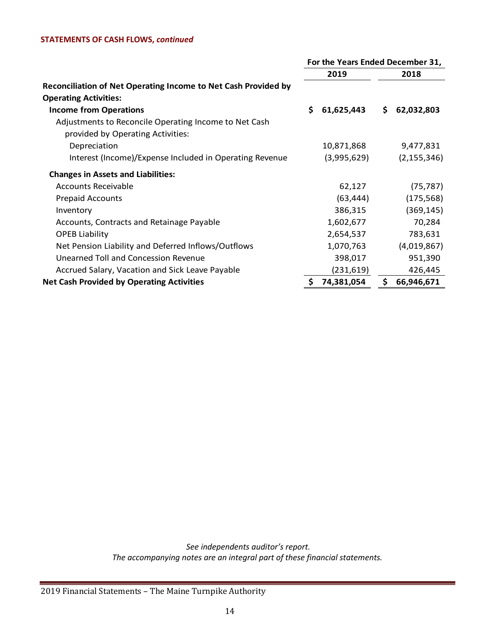### **STATEMENTS OF CASH FLOWS,** *continued*

|                                                                                            | For the Years Ended December 31, |             |     |               |
|--------------------------------------------------------------------------------------------|----------------------------------|-------------|-----|---------------|
|                                                                                            |                                  | 2019        |     | 2018          |
| Reconciliation of Net Operating Income to Net Cash Provided by                             |                                  |             |     |               |
| <b>Operating Activities:</b>                                                               |                                  |             |     |               |
| <b>Income from Operations</b>                                                              | S.                               | 61,625,443  | \$. | 62,032,803    |
| Adjustments to Reconcile Operating Income to Net Cash<br>provided by Operating Activities: |                                  |             |     |               |
| Depreciation                                                                               |                                  | 10,871,868  |     | 9,477,831     |
| Interest (Income)/Expense Included in Operating Revenue                                    |                                  | (3,995,629) |     | (2, 155, 346) |
| <b>Changes in Assets and Liabilities:</b>                                                  |                                  |             |     |               |
| Accounts Receivable                                                                        |                                  | 62,127      |     | (75, 787)     |
| <b>Prepaid Accounts</b>                                                                    |                                  | (63, 444)   |     | (175, 568)    |
| Inventory                                                                                  |                                  | 386,315     |     | (369, 145)    |
| Accounts, Contracts and Retainage Payable                                                  |                                  | 1,602,677   |     | 70,284        |
| <b>OPEB Liability</b>                                                                      |                                  | 2,654,537   |     | 783,631       |
| Net Pension Liability and Deferred Inflows/Outflows                                        |                                  | 1,070,763   |     | (4,019,867)   |
| Unearned Toll and Concession Revenue                                                       |                                  | 398,017     |     | 951,390       |
| Accrued Salary, Vacation and Sick Leave Payable                                            |                                  | (231, 619)  |     | 426,445       |
| <b>Net Cash Provided by Operating Activities</b>                                           | \$                               | 74,381,054  | \$  | 66,946,671    |

*See independents auditor's report. The accompanying notes are an integral part of these financial statements.*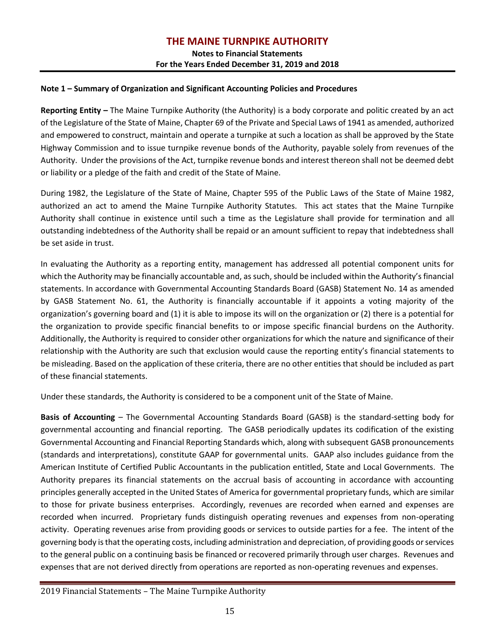**Notes to Financial Statements For the Years Ended December 31, 2019 and 2018**

### **Note 1 – Summary of Organization and Significant Accounting Policies and Procedures**

**Reporting Entity –** The Maine Turnpike Authority (the Authority) is a body corporate and politic created by an act of the Legislature of the State of Maine, Chapter 69 of the Private and Special Laws of 1941 as amended, authorized and empowered to construct, maintain and operate a turnpike at such a location as shall be approved by the State Highway Commission and to issue turnpike revenue bonds of the Authority, payable solely from revenues of the Authority. Under the provisions of the Act, turnpike revenue bonds and interest thereon shall not be deemed debt or liability or a pledge of the faith and credit of the State of Maine.

During 1982, the Legislature of the State of Maine, Chapter 595 of the Public Laws of the State of Maine 1982, authorized an act to amend the Maine Turnpike Authority Statutes. This act states that the Maine Turnpike Authority shall continue in existence until such a time as the Legislature shall provide for termination and all outstanding indebtedness of the Authority shall be repaid or an amount sufficient to repay that indebtedness shall be set aside in trust.

In evaluating the Authority as a reporting entity, management has addressed all potential component units for which the Authority may be financially accountable and, as such, should be included within the Authority's financial statements. In accordance with Governmental Accounting Standards Board (GASB) Statement No. 14 as amended by GASB Statement No. 61, the Authority is financially accountable if it appoints a voting majority of the organization's governing board and (1) it is able to impose its will on the organization or (2) there is a potential for the organization to provide specific financial benefits to or impose specific financial burdens on the Authority. Additionally, the Authority is required to consider other organizations for which the nature and significance of their relationship with the Authority are such that exclusion would cause the reporting entity's financial statements to be misleading. Based on the application of these criteria, there are no other entities that should be included as part of these financial statements.

Under these standards, the Authority is considered to be a component unit of the State of Maine.

**Basis of Accounting** – The Governmental Accounting Standards Board (GASB) is the standard-setting body for governmental accounting and financial reporting. The GASB periodically updates its codification of the existing Governmental Accounting and Financial Reporting Standards which, along with subsequent GASB pronouncements (standards and interpretations), constitute GAAP for governmental units. GAAP also includes guidance from the American Institute of Certified Public Accountants in the publication entitled, State and Local Governments. The Authority prepares its financial statements on the accrual basis of accounting in accordance with accounting principles generally accepted in the United States of America for governmental proprietary funds, which are similar to those for private business enterprises. Accordingly, revenues are recorded when earned and expenses are recorded when incurred. Proprietary funds distinguish operating revenues and expenses from non-operating activity. Operating revenues arise from providing goods or services to outside parties for a fee. The intent of the governing body is that the operating costs, including administration and depreciation, of providing goods or services to the general public on a continuing basis be financed or recovered primarily through user charges. Revenues and expenses that are not derived directly from operations are reported as non-operating revenues and expenses.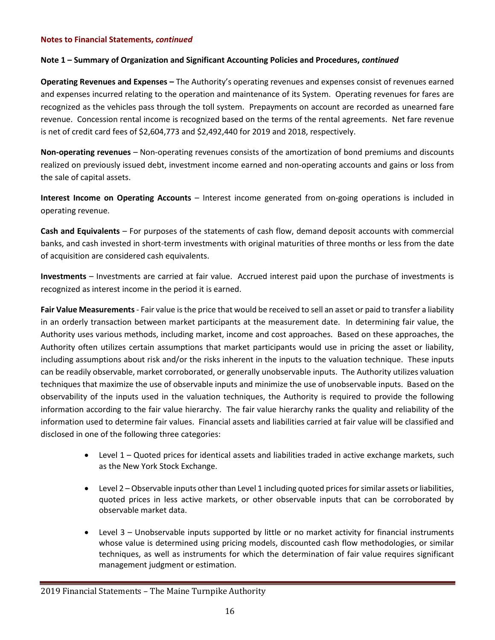### **Note 1 – Summary of Organization and Significant Accounting Policies and Procedures,** *continued*

**Operating Revenues and Expenses –** The Authority's operating revenues and expenses consist of revenues earned and expenses incurred relating to the operation and maintenance of its System. Operating revenues for fares are recognized as the vehicles pass through the toll system. Prepayments on account are recorded as unearned fare revenue. Concession rental income is recognized based on the terms of the rental agreements. Net fare revenue is net of credit card fees of \$2,604,773 and \$2,492,440 for 2019 and 2018, respectively.

**Non-operating revenues** – Non-operating revenues consists of the amortization of bond premiums and discounts realized on previously issued debt, investment income earned and non-operating accounts and gains or loss from the sale of capital assets.

**Interest Income on Operating Accounts** – Interest income generated from on-going operations is included in operating revenue.

**Cash and Equivalents** – For purposes of the statements of cash flow, demand deposit accounts with commercial banks, and cash invested in short-term investments with original maturities of three months or less from the date of acquisition are considered cash equivalents.

**Investments** – Investments are carried at fair value. Accrued interest paid upon the purchase of investments is recognized as interest income in the period it is earned.

**Fair Value Measurements** - Fair value is the price that would be received to sell an asset or paid to transfer a liability in an orderly transaction between market participants at the measurement date. In determining fair value, the Authority uses various methods, including market, income and cost approaches. Based on these approaches, the Authority often utilizes certain assumptions that market participants would use in pricing the asset or liability, including assumptions about risk and/or the risks inherent in the inputs to the valuation technique. These inputs can be readily observable, market corroborated, or generally unobservable inputs. The Authority utilizes valuation techniques that maximize the use of observable inputs and minimize the use of unobservable inputs. Based on the observability of the inputs used in the valuation techniques, the Authority is required to provide the following information according to the fair value hierarchy. The fair value hierarchy ranks the quality and reliability of the information used to determine fair values. Financial assets and liabilities carried at fair value will be classified and disclosed in one of the following three categories:

- Level 1 Quoted prices for identical assets and liabilities traded in active exchange markets, such as the New York Stock Exchange.
- Level 2 Observable inputs other than Level 1 including quoted prices for similar assets or liabilities, quoted prices in less active markets, or other observable inputs that can be corroborated by observable market data.
- Level 3 Unobservable inputs supported by little or no market activity for financial instruments whose value is determined using pricing models, discounted cash flow methodologies, or similar techniques, as well as instruments for which the determination of fair value requires significant management judgment or estimation.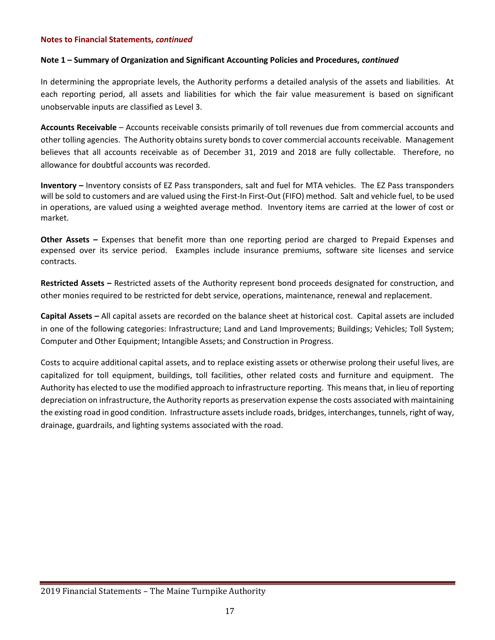### **Note 1 – Summary of Organization and Significant Accounting Policies and Procedures,** *continued*

In determining the appropriate levels, the Authority performs a detailed analysis of the assets and liabilities. At each reporting period, all assets and liabilities for which the fair value measurement is based on significant unobservable inputs are classified as Level 3.

**Accounts Receivable** – Accounts receivable consists primarily of toll revenues due from commercial accounts and other tolling agencies. The Authority obtains surety bonds to cover commercial accounts receivable. Management believes that all accounts receivable as of December 31, 2019 and 2018 are fully collectable. Therefore, no allowance for doubtful accounts was recorded.

**Inventory –** Inventory consists of EZ Pass transponders, salt and fuel for MTA vehicles. The EZ Pass transponders will be sold to customers and are valued using the First-In First-Out (FIFO) method. Salt and vehicle fuel, to be used in operations, are valued using a weighted average method. Inventory items are carried at the lower of cost or market.

**Other Assets –** Expenses that benefit more than one reporting period are charged to Prepaid Expenses and expensed over its service period. Examples include insurance premiums, software site licenses and service contracts.

**Restricted Assets –** Restricted assets of the Authority represent bond proceeds designated for construction, and other monies required to be restricted for debt service, operations, maintenance, renewal and replacement.

**Capital Assets –** All capital assets are recorded on the balance sheet at historical cost. Capital assets are included in one of the following categories: Infrastructure; Land and Land Improvements; Buildings; Vehicles; Toll System; Computer and Other Equipment; Intangible Assets; and Construction in Progress.

Costs to acquire additional capital assets, and to replace existing assets or otherwise prolong their useful lives, are capitalized for toll equipment, buildings, toll facilities, other related costs and furniture and equipment. The Authority has elected to use the modified approach to infrastructure reporting. This means that, in lieu of reporting depreciation on infrastructure, the Authority reports as preservation expense the costs associated with maintaining the existing road in good condition. Infrastructure assets include roads, bridges, interchanges, tunnels, right of way, drainage, guardrails, and lighting systems associated with the road.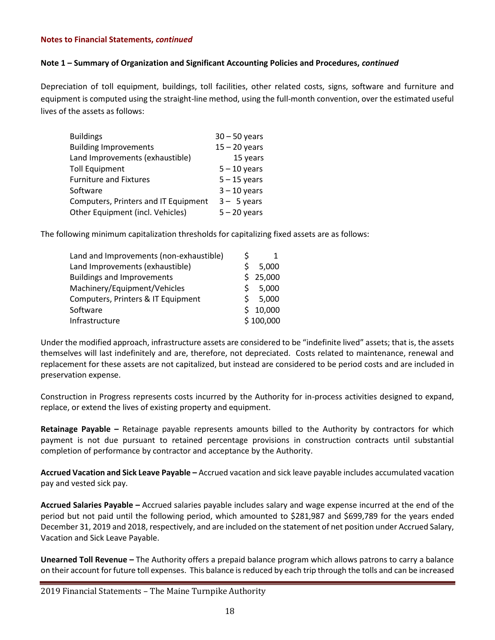### **Note 1 – Summary of Organization and Significant Accounting Policies and Procedures,** *continued*

Depreciation of toll equipment, buildings, toll facilities, other related costs, signs, software and furniture and equipment is computed using the straight-line method, using the full-month convention, over the estimated useful lives of the assets as follows:

| <b>Buildings</b>                     | $30 - 50$ years |
|--------------------------------------|-----------------|
| <b>Building Improvements</b>         | $15 - 20$ years |
| Land Improvements (exhaustible)      | 15 years        |
| <b>Toll Equipment</b>                | $5 - 10$ years  |
| <b>Furniture and Fixtures</b>        | $5 - 15$ years  |
| Software                             | $3 - 10$ years  |
| Computers, Printers and IT Equipment | $3 - 5$ years   |
| Other Equipment (incl. Vehicles)     | $5 - 20$ years  |

The following minimum capitalization thresholds for capitalizing fixed assets are as follows:

| Land and Improvements (non-exhaustible) | S |           |
|-----------------------------------------|---|-----------|
| Land Improvements (exhaustible)         | Ś | 5,000     |
| <b>Buildings and Improvements</b>       | Ś | 25,000    |
| Machinery/Equipment/Vehicles            | ς | 5,000     |
| Computers, Printers & IT Equipment      | ς | 5,000     |
| Software                                | ς | 10,000    |
| Infrastructure                          |   | \$100,000 |

Under the modified approach, infrastructure assets are considered to be "indefinite lived" assets; that is, the assets themselves will last indefinitely and are, therefore, not depreciated. Costs related to maintenance, renewal and replacement for these assets are not capitalized, but instead are considered to be period costs and are included in preservation expense.

Construction in Progress represents costs incurred by the Authority for in-process activities designed to expand, replace, or extend the lives of existing property and equipment.

**Retainage Payable –** Retainage payable represents amounts billed to the Authority by contractors for which payment is not due pursuant to retained percentage provisions in construction contracts until substantial completion of performance by contractor and acceptance by the Authority.

**Accrued Vacation and Sick Leave Payable –** Accrued vacation and sick leave payable includes accumulated vacation pay and vested sick pay.

**Accrued Salaries Payable –** Accrued salaries payable includes salary and wage expense incurred at the end of the period but not paid until the following period, which amounted to \$281,987 and \$699,789 for the years ended December 31, 2019 and 2018, respectively, and are included on the statement of net position under Accrued Salary, Vacation and Sick Leave Payable.

**Unearned Toll Revenue –** The Authority offers a prepaid balance program which allows patrons to carry a balance on their account for future toll expenses. This balance is reduced by each trip through the tolls and can be increased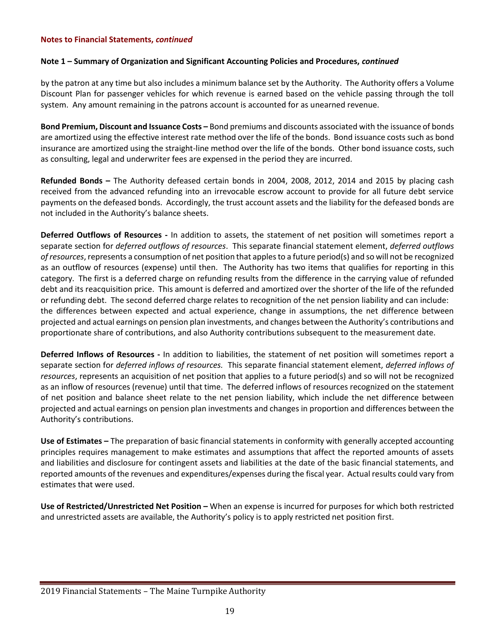### **Note 1 – Summary of Organization and Significant Accounting Policies and Procedures,** *continued*

by the patron at any time but also includes a minimum balance set by the Authority. The Authority offers a Volume Discount Plan for passenger vehicles for which revenue is earned based on the vehicle passing through the toll system. Any amount remaining in the patrons account is accounted for as unearned revenue.

**Bond Premium, Discount and Issuance Costs –** Bond premiums and discounts associated with the issuance of bonds are amortized using the effective interest rate method over the life of the bonds. Bond issuance costs such as bond insurance are amortized using the straight-line method over the life of the bonds. Other bond issuance costs, such as consulting, legal and underwriter fees are expensed in the period they are incurred.

**Refunded Bonds –** The Authority defeased certain bonds in 2004, 2008, 2012, 2014 and 2015 by placing cash received from the advanced refunding into an irrevocable escrow account to provide for all future debt service payments on the defeased bonds. Accordingly, the trust account assets and the liability for the defeased bonds are not included in the Authority's balance sheets.

**Deferred Outflows of Resources -** In addition to assets, the statement of net position will sometimes report a separate section for *deferred outflows of resources*. This separate financial statement element, *deferred outflows of resources*, represents a consumption of net position that apples to a future period(s) and so will not be recognized as an outflow of resources (expense) until then. The Authority has two items that qualifies for reporting in this category. The first is a deferred charge on refunding results from the difference in the carrying value of refunded debt and its reacquisition price. This amount is deferred and amortized over the shorter of the life of the refunded or refunding debt. The second deferred charge relates to recognition of the net pension liability and can include: the differences between expected and actual experience, change in assumptions, the net difference between projected and actual earnings on pension plan investments, and changes between the Authority's contributions and proportionate share of contributions, and also Authority contributions subsequent to the measurement date.

**Deferred Inflows of Resources -** In addition to liabilities, the statement of net position will sometimes report a separate section for *deferred inflows of resources.* This separate financial statement element, *deferred inflows of resources*, represents an acquisition of net position that applies to a future period(s) and so will not be recognized as an inflow of resources (revenue) until that time. The deferred inflows of resources recognized on the statement of net position and balance sheet relate to the net pension liability, which include the net difference between projected and actual earnings on pension plan investments and changes in proportion and differences between the Authority's contributions.

**Use of Estimates –** The preparation of basic financial statements in conformity with generally accepted accounting principles requires management to make estimates and assumptions that affect the reported amounts of assets and liabilities and disclosure for contingent assets and liabilities at the date of the basic financial statements, and reported amounts of the revenues and expenditures/expenses during the fiscal year. Actual results could vary from estimates that were used.

**Use of Restricted/Unrestricted Net Position –** When an expense is incurred for purposes for which both restricted and unrestricted assets are available, the Authority's policy is to apply restricted net position first.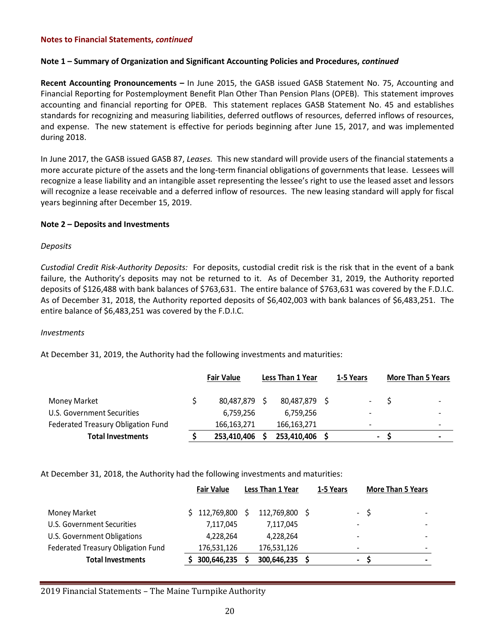### **Note 1 – Summary of Organization and Significant Accounting Policies and Procedures,** *continued*

**Recent Accounting Pronouncements –** In June 2015, the GASB issued GASB Statement No. 75, Accounting and Financial Reporting for Postemployment Benefit Plan Other Than Pension Plans (OPEB). This statement improves accounting and financial reporting for OPEB. This statement replaces GASB Statement No. 45 and establishes standards for recognizing and measuring liabilities, deferred outflows of resources, deferred inflows of resources, and expense. The new statement is effective for periods beginning after June 15, 2017, and was implemented during 2018.

In June 2017, the GASB issued GASB 87, *Leases.* This new standard will provide users of the financial statements a more accurate picture of the assets and the long-term financial obligations of governments that lease. Lessees will recognize a lease liability and an intangible asset representing the lessee's right to use the leased asset and lessors will recognize a lease receivable and a deferred inflow of resources. The new leasing standard will apply for fiscal years beginning after December 15, 2019.

### **Note 2 – Deposits and Investments**

### *Deposits*

*Custodial Credit Risk-Authority Deposits:* For deposits, custodial credit risk is the risk that in the event of a bank failure, the Authority's deposits may not be returned to it. As of December 31, 2019, the Authority reported deposits of \$126,488 with bank balances of \$763,631. The entire balance of \$763,631 was covered by the F.D.I.C. As of December 31, 2018, the Authority reported deposits of \$6,402,003 with bank balances of \$6,483,251. The entire balance of \$6,483,251 was covered by the F.D.I.C.

#### *Investments*

At December 31, 2019, the Authority had the following investments and maturities:

|                                    | <b>Fair Value</b> | Less Than 1 Year | 1-5 Years                | <b>More Than 5 Years</b> |
|------------------------------------|-------------------|------------------|--------------------------|--------------------------|
| <b>Money Market</b>                | 80,487,879        | 80,487,879 \$    | $\blacksquare$           | $\overline{\phantom{0}}$ |
| U.S. Government Securities         | 6,759,256         | 6,759,256        | $\overline{\phantom{0}}$ | $\overline{\phantom{0}}$ |
| Federated Treasury Obligation Fund | 166,163,271       | 166,163,271      | $\overline{\phantom{0}}$ | ۰                        |
| <b>Total Investments</b>           | 253,410,406       | 253,410,406      | $\blacksquare$           | $\overline{\phantom{0}}$ |

At December 31, 2018, the Authority had the following investments and maturities:

|                                    | <b>Fair Value</b> | Less Than 1 Year | 1-5 Years |                          | <b>More Than 5 Years</b>         |
|------------------------------------|-------------------|------------------|-----------|--------------------------|----------------------------------|
| Money Market                       | \$112,769,800     | 112,769,800      |           |                          | - \$<br>$\overline{\phantom{0}}$ |
| U.S. Government Securities         | 7,117,045         | 7,117,045        |           | $\overline{\phantom{0}}$ |                                  |
| U.S. Government Obligations        | 4,228,264         | 4,228,264        |           | $\overline{\phantom{0}}$ |                                  |
| Federated Treasury Obligation Fund | 176,531,126       | 176,531,126      |           | $\overline{\phantom{0}}$ | $\overline{\phantom{0}}$         |
| <b>Total Investments</b>           | 300,646,235       | 300,646,235      |           | $\blacksquare$           | $\overline{\phantom{0}}$         |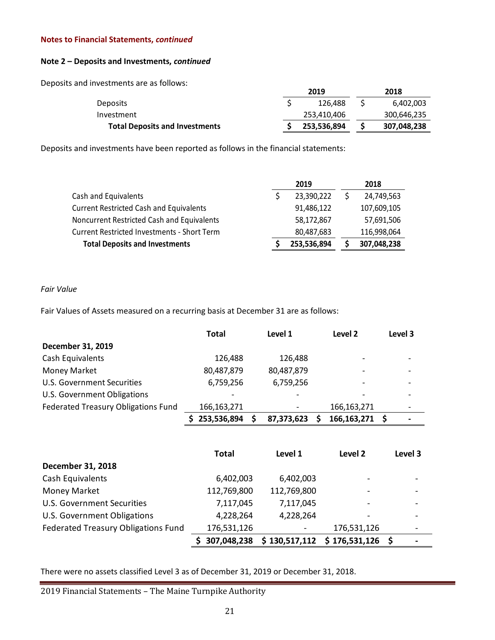### **Note 2 – Deposits and Investments,** *continued*

Deposits and investments are as follows:

|                                       | 2019        | 2018        |
|---------------------------------------|-------------|-------------|
| Deposits                              | 126.488     | 6,402,003   |
| Investment                            | 253,410,406 | 300,646,235 |
| <b>Total Deposits and Investments</b> | 253,536,894 | 307,048,238 |

Deposits and investments have been reported as follows in the financial statements:

|                                                    | 2019        | 2018        |
|----------------------------------------------------|-------------|-------------|
| Cash and Equivalents                               | 23,390,222  | 24,749,563  |
| <b>Current Restricted Cash and Equivalents</b>     | 91,486,122  | 107,609,105 |
| Noncurrent Restricted Cash and Equivalents         | 58,172,867  | 57,691,506  |
| <b>Current Restricted Investments - Short Term</b> | 80,487,683  | 116,998,064 |
| <b>Total Deposits and Investments</b>              | 253,536,894 | 307,048,238 |

### *Fair Value*

Fair Values of Assets measured on a recurring basis at December 31 are as follows:

|                                     | <b>Total</b> | Level 1    | Level 2       | Level 3 |
|-------------------------------------|--------------|------------|---------------|---------|
| December 31, 2019                   |              |            |               |         |
| Cash Equivalents                    | 126,488      | 126,488    |               |         |
| <b>Money Market</b>                 | 80,487,879   | 80,487,879 |               |         |
| U.S. Government Securities          | 6,759,256    | 6,759,256  |               |         |
| U.S. Government Obligations         |              |            |               |         |
| Federated Treasury Obligations Fund | 166,163,271  |            | 166,163,271   |         |
|                                     | 253,536,894  | 87,373,623 | 166, 163, 271 |         |

|                                            | <b>Total</b> | Level 1                  | Level 2                  | Level 3 |
|--------------------------------------------|--------------|--------------------------|--------------------------|---------|
| December 31, 2018                          |              |                          |                          |         |
| Cash Equivalents                           | 6,402,003    | 6,402,003                | ۰                        |         |
| <b>Money Market</b>                        | 112,769,800  | 112,769,800              |                          |         |
| U.S. Government Securities                 | 7,117,045    | 7,117,045                | $\overline{\phantom{a}}$ |         |
| U.S. Government Obligations                | 4,228,264    | 4,228,264                |                          |         |
| <b>Federated Treasury Obligations Fund</b> | 176,531,126  | $\overline{\phantom{a}}$ | 176,531,126              |         |
|                                            | 307,048,238  | \$130,517,112            | \$176,531,126            |         |

There were no assets classified Level 3 as of December 31, 2019 or December 31, 2018.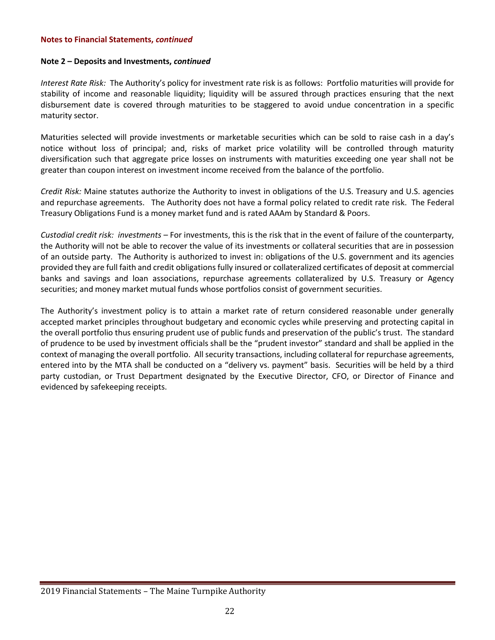### **Note 2 – Deposits and Investments,** *continued*

*Interest Rate Risk:* The Authority's policy for investment rate risk is as follows: Portfolio maturities will provide for stability of income and reasonable liquidity; liquidity will be assured through practices ensuring that the next disbursement date is covered through maturities to be staggered to avoid undue concentration in a specific maturity sector.

Maturities selected will provide investments or marketable securities which can be sold to raise cash in a day's notice without loss of principal; and, risks of market price volatility will be controlled through maturity diversification such that aggregate price losses on instruments with maturities exceeding one year shall not be greater than coupon interest on investment income received from the balance of the portfolio.

*Credit Risk:* Maine statutes authorize the Authority to invest in obligations of the U.S. Treasury and U.S. agencies and repurchase agreements. The Authority does not have a formal policy related to credit rate risk. The Federal Treasury Obligations Fund is a money market fund and is rated AAAm by Standard & Poors.

*Custodial credit risk: investments –* For investments, this is the risk that in the event of failure of the counterparty, the Authority will not be able to recover the value of its investments or collateral securities that are in possession of an outside party. The Authority is authorized to invest in: obligations of the U.S. government and its agencies provided they are full faith and credit obligations fully insured or collateralized certificates of deposit at commercial banks and savings and loan associations, repurchase agreements collateralized by U.S. Treasury or Agency securities; and money market mutual funds whose portfolios consist of government securities.

The Authority's investment policy is to attain a market rate of return considered reasonable under generally accepted market principles throughout budgetary and economic cycles while preserving and protecting capital in the overall portfolio thus ensuring prudent use of public funds and preservation of the public's trust. The standard of prudence to be used by investment officials shall be the "prudent investor" standard and shall be applied in the context of managing the overall portfolio. All security transactions, including collateral for repurchase agreements, entered into by the MTA shall be conducted on a "delivery vs. payment" basis. Securities will be held by a third party custodian, or Trust Department designated by the Executive Director, CFO, or Director of Finance and evidenced by safekeeping receipts.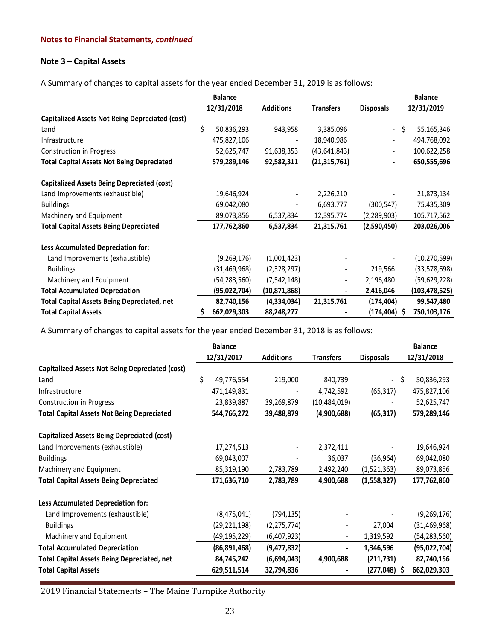### **Note 3 – Capital Assets**

A Summary of changes to capital assets for the year ended December 31, 2019 is as follows:

|                                                    | <b>Balance</b>   |                  |                  |                  | <b>Balance</b>  |
|----------------------------------------------------|------------------|------------------|------------------|------------------|-----------------|
|                                                    | 12/31/2018       | <b>Additions</b> | <b>Transfers</b> | <b>Disposals</b> | 12/31/2019      |
| Capitalized Assets Not Being Depreciated (cost)    |                  |                  |                  |                  |                 |
| Land                                               | \$<br>50,836,293 | 943,958          | 3,385,096        | - \$             | 55,165,346      |
| Infrastructure                                     | 475,827,106      |                  | 18,940,986       |                  | 494,768,092     |
| Construction in Progress                           | 52,625,747       | 91,638,353       | (43, 641, 843)   | $\blacksquare$   | 100,622,258     |
| <b>Total Capital Assets Not Being Depreciated</b>  | 579,289,146      | 92,582,311       | (21, 315, 761)   |                  | 650,555,696     |
| <b>Capitalized Assets Being Depreciated (cost)</b> |                  |                  |                  |                  |                 |
| Land Improvements (exhaustible)                    | 19,646,924       |                  | 2,226,210        |                  | 21,873,134      |
| <b>Buildings</b>                                   | 69,042,080       |                  | 6,693,777        | (300, 547)       | 75,435,309      |
| Machinery and Equipment                            | 89,073,856       | 6,537,834        | 12,395,774       | (2, 289, 903)    | 105,717,562     |
| <b>Total Capital Assets Being Depreciated</b>      | 177,762,860      | 6,537,834        | 21,315,761       | (2,590,450)      | 203,026,006     |
| Less Accumulated Depreciation for:                 |                  |                  |                  |                  |                 |
| Land Improvements (exhaustible)                    | (9, 269, 176)    | (1,001,423)      |                  |                  | (10, 270, 599)  |
| <b>Buildings</b>                                   | (31, 469, 968)   | (2,328,297)      | $\blacksquare$   | 219,566          | (33,578,698)    |
| Machinery and Equipment                            | (54,283,560)     | (7, 542, 148)    | $\blacksquare$   | 2,196,480        | (59,629,228)    |
| <b>Total Accumulated Depreciation</b>              | (95,022,704)     | (10, 871, 868)   |                  | 2,416,046        | (103, 478, 525) |
| <b>Total Capital Assets Being Depreciated, net</b> | 82,740,156       | (4,334,034)      | 21,315,761       | (174, 404)       | 99,547,480      |
| <b>Total Capital Assets</b>                        | 662,029,303      | 88,248,277       |                  | $(174, 404)$ \$  | 750,103,176     |

A Summary of changes to capital assets for the year ended December 31, 2018 is as follows:

|                                                        | <b>Balance</b>   |                  |                  |                  | <b>Balance</b> |
|--------------------------------------------------------|------------------|------------------|------------------|------------------|----------------|
|                                                        | 12/31/2017       | <b>Additions</b> | <b>Transfers</b> | <b>Disposals</b> | 12/31/2018     |
| <b>Capitalized Assets Not Being Depreciated (cost)</b> |                  |                  |                  |                  |                |
| Land                                                   | \$<br>49,776,554 | 219,000          | 840,739          | - \$             | 50,836,293     |
| Infrastructure                                         | 471,149,831      |                  | 4,742,592        | (65, 317)        | 475,827,106    |
| Construction in Progress                               | 23,839,887       | 39,269,879       | (10, 484, 019)   |                  | 52,625,747     |
| <b>Total Capital Assets Not Being Depreciated</b>      | 544,766,272      | 39,488,879       | (4,900,688)      | (65, 317)        | 579,289,146    |
| <b>Capitalized Assets Being Depreciated (cost)</b>     |                  |                  |                  |                  |                |
| Land Improvements (exhaustible)                        | 17,274,513       |                  | 2,372,411        |                  | 19,646,924     |
| <b>Buildings</b>                                       | 69,043,007       |                  | 36,037           | (36, 964)        | 69,042,080     |
| Machinery and Equipment                                | 85,319,190       | 2,783,789        | 2,492,240        | (1,521,363)      | 89,073,856     |
| <b>Total Capital Assets Being Depreciated</b>          | 171,636,710      | 2,783,789        | 4,900,688        | (1,558,327)      | 177,762,860    |
| Less Accumulated Depreciation for:                     |                  |                  |                  |                  |                |
| Land Improvements (exhaustible)                        | (8,475,041)      | (794,135)        |                  |                  | (9, 269, 176)  |
| <b>Buildings</b>                                       | (29,221,198)     | (2, 275, 774)    |                  | 27,004           | (31, 469, 968) |
| Machinery and Equipment                                | (49,195,229)     | (6,407,923)      |                  | 1,319,592        | (54,283,560)   |
| <b>Total Accumulated Depreciation</b>                  | (86,891,468)     | (9,477,832)      | ۰                | 1,346,596        | (95,022,704)   |
| <b>Total Capital Assets Being Depreciated, net</b>     | 84,745,242       | (6,694,043)      | 4,900,688        | (211, 731)       | 82,740,156     |
| <b>Total Capital Assets</b>                            | 629,511,514      | 32,794,836       |                  | $(277, 048)$ \$  | 662,029,303    |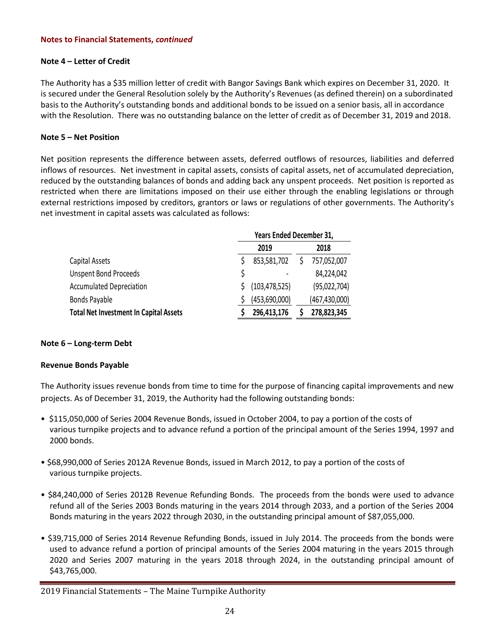### **Note 4 – Letter of Credit**

The Authority has a \$35 million letter of credit with Bangor Savings Bank which expires on December 31, 2020. It is secured under the General Resolution solely by the Authority's Revenues (as defined therein) on a subordinated basis to the Authority's outstanding bonds and additional bonds to be issued on a senior basis, all in accordance with the Resolution. There was no outstanding balance on the letter of credit as of December 31, 2019 and 2018.

### **Note 5 – Net Position**

Net position represents the difference between assets, deferred outflows of resources, liabilities and deferred inflows of resources. Net investment in capital assets, consists of capital assets, net of accumulated depreciation, reduced by the outstanding balances of bonds and adding back any unspent proceeds. Net position is reported as restricted when there are limitations imposed on their use either through the enabling legislations or through external restrictions imposed by creditors, grantors or laws or regulations of other governments. The Authority's net investment in capital assets was calculated as follows:

|                                               | Years Ended December 31, |                 |  |                 |  |
|-----------------------------------------------|--------------------------|-----------------|--|-----------------|--|
|                                               |                          | 2019            |  | 2018            |  |
| Capital Assets                                |                          | 853,581,702     |  | 757,052,007     |  |
| <b>Unspent Bond Proceeds</b>                  |                          |                 |  | 84,224,042      |  |
| <b>Accumulated Depreciation</b>               |                          | (103, 478, 525) |  | (95,022,704)    |  |
| Bonds Payable                                 |                          | (453,690,000)   |  | (467, 430, 000) |  |
| <b>Total Net Investment In Capital Assets</b> |                          | 296,413,176     |  | 278,823,345     |  |

### **Note 6 – Long-term Debt**

### **Revenue Bonds Payable**

The Authority issues revenue bonds from time to time for the purpose of financing capital improvements and new projects. As of December 31, 2019, the Authority had the following outstanding bonds:

- \$115,050,000 of Series 2004 Revenue Bonds, issued in October 2004, to pay a portion of the costs of various turnpike projects and to advance refund a portion of the principal amount of the Series 1994, 1997 and 2000 bonds.
- \$68,990,000 of Series 2012A Revenue Bonds, issued in March 2012, to pay a portion of the costs of various turnpike projects.
- \$84,240,000 of Series 2012B Revenue Refunding Bonds. The proceeds from the bonds were used to advance refund all of the Series 2003 Bonds maturing in the years 2014 through 2033, and a portion of the Series 2004 Bonds maturing in the years 2022 through 2030, in the outstanding principal amount of \$87,055,000.
- \$39,715,000 of Series 2014 Revenue Refunding Bonds, issued in July 2014. The proceeds from the bonds were used to advance refund a portion of principal amounts of the Series 2004 maturing in the years 2015 through 2020 and Series 2007 maturing in the years 2018 through 2024, in the outstanding principal amount of \$43,765,000.

<sup>2019</sup> Financial Statements – The Maine Turnpike Authority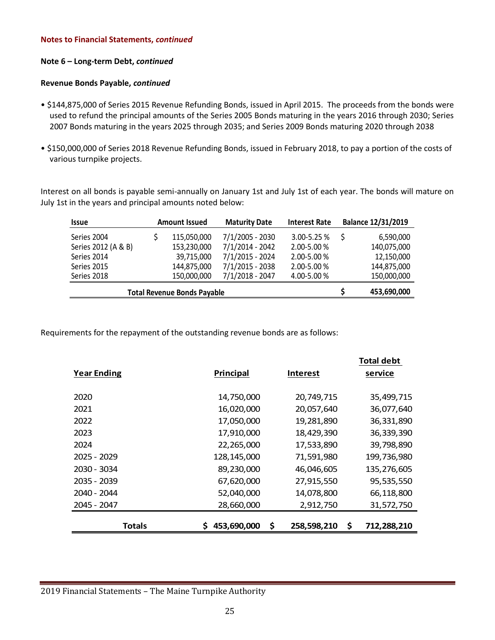### **Note 6 – Long-term Debt,** *continued*

### **Revenue Bonds Payable,** *continued*

- \$144,875,000 of Series 2015 Revenue Refunding Bonds, issued in April 2015. The proceeds from the bonds were used to refund the principal amounts of the Series 2005 Bonds maturing in the years 2016 through 2030; Series 2007 Bonds maturing in the years 2025 through 2035; and Series 2009 Bonds maturing 2020 through 2038
- \$150,000,000 of Series 2018 Revenue Refunding Bonds, issued in February 2018, to pay a portion of the costs of various turnpike projects.

Interest on all bonds is payable semi-annually on January 1st and July 1st of each year. The bonds will mature on July 1st in the years and principal amounts noted below:

| <b>Issue</b>                       |  | <b>Amount Issued</b> | <b>Maturity Date</b> | <b>Interest Rate</b> | Balance 12/31/2019 |
|------------------------------------|--|----------------------|----------------------|----------------------|--------------------|
| Series 2004                        |  | 115,050,000          | 7/1/2005 - 2030      | 3.00-5.25 %          | 6,590,000          |
| Series 2012 (A & B)                |  | 153,230,000          | 7/1/2014 - 2042      | 2.00-5.00 %          | 140,075,000        |
| Series 2014                        |  | 39,715,000           | 7/1/2015 - 2024      | 2.00-5.00 %          | 12,150,000         |
| Series 2015                        |  | 144,875,000          | 7/1/2015 - 2038      | $2.00 - 5.00 %$      | 144,875,000        |
| Series 2018                        |  | 150,000,000          | 7/1/2018 - 2047      | 4.00-5.00 %          | 150,000,000        |
| <b>Total Revenue Bonds Payable</b> |  |                      |                      |                      | 453,690,000        |

Requirements for the repayment of the outstanding revenue bonds are as follows:

|                    |                   |                 | Total debt        |
|--------------------|-------------------|-----------------|-------------------|
| <b>Year Ending</b> | Principal         | <b>Interest</b> | service           |
|                    |                   |                 |                   |
| 2020               | 14,750,000        | 20,749,715      | 35,499,715        |
| 2021               | 16,020,000        | 20,057,640      | 36,077,640        |
| 2022               | 17,050,000        | 19,281,890      | 36,331,890        |
| 2023               | 17,910,000        | 18,429,390      | 36,339,390        |
| 2024               | 22,265,000        | 17,533,890      | 39,798,890        |
| 2025 - 2029        | 128,145,000       | 71,591,980      | 199,736,980       |
| 2030 - 3034        | 89,230,000        | 46,046,605      | 135,276,605       |
| 2035 - 2039        | 67,620,000        | 27,915,550      | 95,535,550        |
| 2040 - 2044        | 52,040,000        | 14,078,800      | 66,118,800        |
| 2045 - 2047        | 28,660,000        | 2,912,750       | 31,572,750        |
|                    |                   |                 |                   |
| <b>Totals</b>      | 453,690,000<br>\$ | 258,598,210     | \$<br>712,288,210 |

**Total debt**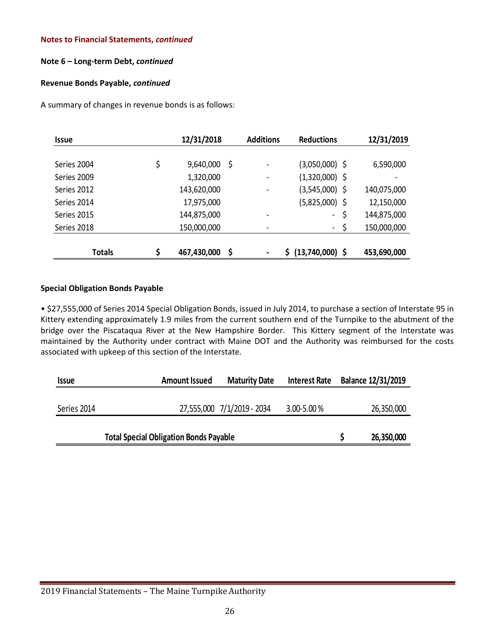### **Note 6 – Long-term Debt,** *continued*

### **Revenue Bonds Payable,** *continued*

A summary of changes in revenue bonds is as follows:

| <b>Issue</b>  | 12/31/2018        |    | <b>Additions</b>         | <b>Reductions</b> | 12/31/2019  |
|---------------|-------------------|----|--------------------------|-------------------|-------------|
|               |                   |    |                          |                   |             |
| Series 2004   | \$<br>9,640,000   | Ş  |                          | (3,050,000) \$    | 6,590,000   |
| Series 2009   | 1,320,000         |    |                          | $(1,320,000)$ \$  |             |
| Series 2012   | 143,620,000       |    | $\overline{\phantom{a}}$ | (3,545,000) \$    | 140,075,000 |
| Series 2014   | 17,975,000        |    |                          | $(5,825,000)$ \$  | 12,150,000  |
| Series 2015   | 144,875,000       |    |                          | \$<br>$\sim$      | 144,875,000 |
| Series 2018   | 150,000,000       |    |                          | \$<br>$\sim$      | 150,000,000 |
|               |                   |    |                          |                   |             |
| <b>Totals</b> | \$<br>467,430,000 | \$ |                          | $(13,740,000)$ \$ | 453,690,000 |

### **Special Obligation Bonds Payable**

• \$27,555,000 of Series 2014 Special Obligation Bonds, issued in July 2014, to purchase a section of Interstate 95 in Kittery extending approximately 1.9 miles from the current southern end of the Turnpike to the abutment of the bridge over the Piscataqua River at the New Hampshire Border. This Kittery segment of the Interstate was maintained by the Authority under contract with Maine DOT and the Authority was reimbursed for the costs associated with upkeep of this section of the Interstate.

| <b>Issue</b> | <b>Amount Issued</b> | <b>Maturity Date</b>       | <b>Interest Rate</b> | Balance 12/31/2019 |
|--------------|----------------------|----------------------------|----------------------|--------------------|
|              |                      |                            |                      |                    |
| Series 2014  |                      | 27,555,000 7/1/2019 - 2034 | $3.00 - 5.00 %$      | 26,350,000         |
|              |                      |                            |                      |                    |
|              | 26,350,000           |                            |                      |                    |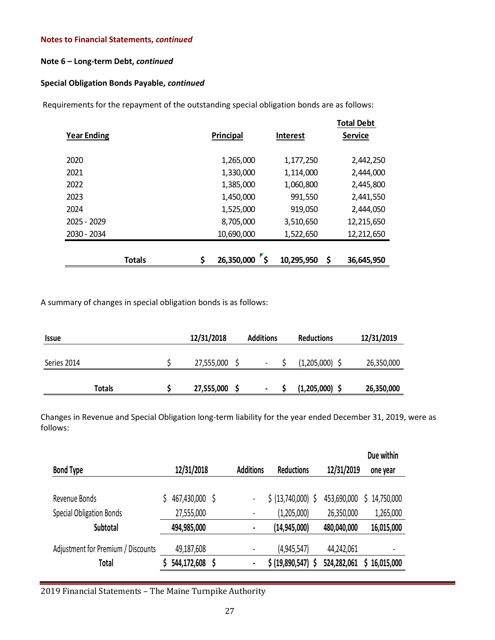### **Note 6 – Long-term Debt,** *continued*

### **Special Obligation Bonds Payable,** *continued*

Requirements for the repayment of the outstanding special obligation bonds are as follows:

| <b>Year Ending</b> | Principal        | <b>Interest</b> | <b>Total Debt</b><br><b>Service</b> |
|--------------------|------------------|-----------------|-------------------------------------|
| 2020               | 1,265,000        | 1,177,250       | 2,442,250                           |
| 2021               | 1,330,000        | 1,114,000       | 2,444,000                           |
| 2022               | 1,385,000        | 1,060,800       | 2,445,800                           |
| 2023               | 1,450,000        | 991,550         | 2,441,550                           |
| 2024               | 1,525,000        | 919,050         | 2,444,050                           |
| 2025 - 2029        | 8,705,000        | 3,510,650       | 12,215,650                          |
| 2030 - 2034        | 10,690,000       | 1,522,650       | 12,212,650                          |
|                    |                  |                 |                                     |
| <b>Totals</b>      | \$<br>26,350,000 | 10,295,950      | \$<br>36,645,950                    |

A summary of changes in special obligation bonds is as follows:

| <i><b>Issue</b></i> | 12/31/2018 | <b>Additions</b> | <b>Reductions</b> | 12/31/2019 |
|---------------------|------------|------------------|-------------------|------------|
| Series 2014         | 27,555,000 | $\,$             | (1,205,000)       | 26,350,000 |
|                     |            |                  |                   |            |
| Totals              | 27,555,000 | ٠                | (1,205,000)       | 26,350,000 |

Changes in Revenue and Special Obligation long-term liability for the year ended December 31, 2019, were as follows:

|                                    |             |     |                              |                    |             | Due within |
|------------------------------------|-------------|-----|------------------------------|--------------------|-------------|------------|
| <b>Bond Type</b>                   | 12/31/2018  |     | <b>Additions</b>             | <b>Reductions</b>  | 12/31/2019  | one year   |
| Revenue Bonds                      | 467,430,000 | \$. | -                            | \$ (13,740,000) \$ | 453,690,000 | 14,750,000 |
| <b>Special Obligation Bonds</b>    | 27,555,000  |     | $\qquad \qquad \blacksquare$ | (1,205,000)        | 26,350,000  | 1,265,000  |
| Subtotal                           | 494,985,000 |     | $\blacksquare$               | (14, 945, 000)     | 480,040,000 | 16,015,000 |
| Adjustment for Premium / Discounts | 49,187,608  |     | -                            | (4,945,547)        | 44,242,061  |            |
| Total                              | 544,172,608 | \$  | $\blacksquare$               | \$ (19,890,547) \$ | 524,282,061 | 16,015,000 |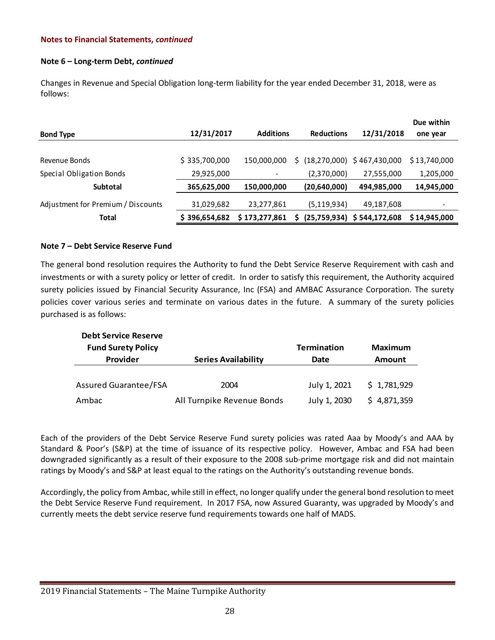### **Note 6 – Long-term Debt,** *continued*

Changes in Revenue and Special Obligation long-term liability for the year ended December 31, 2018, were as follows:

| <b>Bond Type</b>                   | 12/31/2017    | <b>Additions</b> | <b>Reductions</b>    | 12/31/2018                    | Due within<br>one year |
|------------------------------------|---------------|------------------|----------------------|-------------------------------|------------------------|
|                                    |               |                  |                      |                               |                        |
| Revenue Bonds                      | \$335,700,000 | 150,000,000      | (18, 270, 000)<br>S. | \$467,430,000                 | \$13,740,000           |
| Special Obligation Bonds           | 29,925,000    | ٠                | (2,370,000)          | 27,555,000                    | 1,205,000              |
| <b>Subtotal</b>                    | 365,625,000   | 150,000,000      | (20, 640, 000)       | 494,985,000                   | 14,945,000             |
| Adjustment for Premium / Discounts | 31,029,682    | 23,277,861       | (5, 119, 934)        | 49,187,608                    |                        |
| Total                              | \$396,654,682 | \$173,277,861    | Ś                    | $(25,759,934)$ \$ 544,172,608 | \$14,945,000           |
|                                    |               |                  |                      |                               |                        |

### **Note 7 – Debt Service Reserve Fund**

The general bond resolution requires the Authority to fund the Debt Service Reserve Requirement with cash and investments or with a surety policy or letter of credit. In order to satisfy this requirement, the Authority acquired surety policies issued by Financial Security Assurance, Inc (FSA) and AMBAC Assurance Corporation. The surety policies cover various series and terminate on various dates in the future. A summary of the surety policies purchased is as follows:

| <b>Debt Service Reserve</b>  |                            |                    |               |
|------------------------------|----------------------------|--------------------|---------------|
| <b>Fund Surety Policy</b>    |                            | <b>Termination</b> | Maximum       |
| Provider                     | <b>Series Availability</b> | Date               | <b>Amount</b> |
|                              |                            |                    |               |
| <b>Assured Guarantee/FSA</b> | 2004                       | July 1, 2021       | \$1,781,929   |
| Ambac                        | All Turnpike Revenue Bonds | July 1, 2030       | \$4,871,359   |

Each of the providers of the Debt Service Reserve Fund surety policies was rated Aaa by Moody's and AAA by Standard & Poor's (S&P) at the time of issuance of its respective policy. However, Ambac and FSA had been downgraded significantly as a result of their exposure to the 2008 sub-prime mortgage risk and did not maintain ratings by Moody's and S&P at least equal to the ratings on the Authority's outstanding revenue bonds.

Accordingly, the policy from Ambac, while still in effect, no longer qualify under the general bond resolution to meet the Debt Service Reserve Fund requirement. In 2017 FSA, now Assured Guaranty, was upgraded by Moody's and currently meets the debt service reserve fund requirements towards one half of MADS.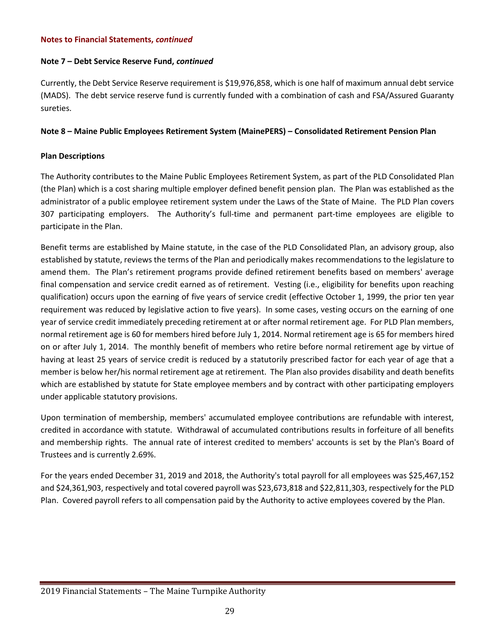### **Note 7 – Debt Service Reserve Fund,** *continued*

Currently, the Debt Service Reserve requirement is \$19,976,858, which is one half of maximum annual debt service (MADS). The debt service reserve fund is currently funded with a combination of cash and FSA/Assured Guaranty sureties.

### **Note 8 – Maine Public Employees Retirement System (MainePERS) – Consolidated Retirement Pension Plan**

### **Plan Descriptions**

The Authority contributes to the Maine Public Employees Retirement System, as part of the PLD Consolidated Plan (the Plan) which is a cost sharing multiple employer defined benefit pension plan. The Plan was established as the administrator of a public employee retirement system under the Laws of the State of Maine. The PLD Plan covers 307 participating employers. The Authority's full-time and permanent part-time employees are eligible to participate in the Plan.

Benefit terms are established by Maine statute, in the case of the PLD Consolidated Plan, an advisory group, also established by statute, reviews the terms of the Plan and periodically makes recommendations to the legislature to amend them. The Plan's retirement programs provide defined retirement benefits based on members' average final compensation and service credit earned as of retirement. Vesting (i.e., eligibility for benefits upon reaching qualification) occurs upon the earning of five years of service credit (effective October 1, 1999, the prior ten year requirement was reduced by legislative action to five years). In some cases, vesting occurs on the earning of one year of service credit immediately preceding retirement at or after normal retirement age. For PLD Plan members, normal retirement age is 60 for members hired before July 1, 2014. Normal retirement age is 65 for members hired on or after July 1, 2014. The monthly benefit of members who retire before normal retirement age by virtue of having at least 25 years of service credit is reduced by a statutorily prescribed factor for each year of age that a member is below her/his normal retirement age at retirement. The Plan also provides disability and death benefits which are established by statute for State employee members and by contract with other participating employers under applicable statutory provisions.

Upon termination of membership, members' accumulated employee contributions are refundable with interest, credited in accordance with statute. Withdrawal of accumulated contributions results in forfeiture of all benefits and membership rights. The annual rate of interest credited to members' accounts is set by the Plan's Board of Trustees and is currently 2.69%.

For the years ended December 31, 2019 and 2018, the Authority's total payroll for all employees was \$25,467,152 and \$24,361,903, respectively and total covered payroll was \$23,673,818 and \$22,811,303, respectively for the PLD Plan. Covered payroll refers to all compensation paid by the Authority to active employees covered by the Plan.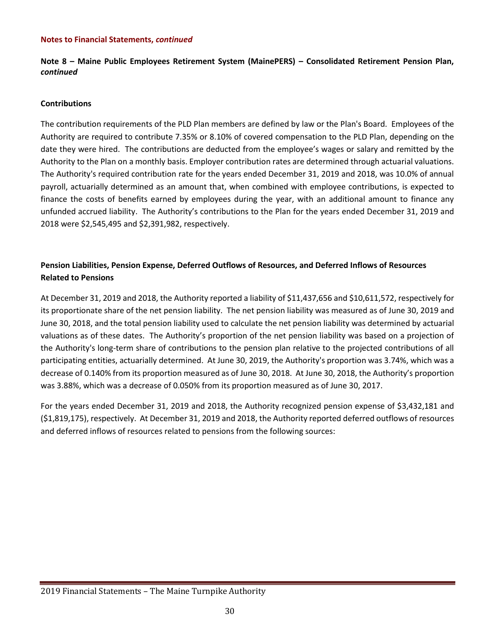**Note 8 – Maine Public Employees Retirement System (MainePERS) – Consolidated Retirement Pension Plan,**  *continued*

### **Contributions**

The contribution requirements of the PLD Plan members are defined by law or the Plan's Board. Employees of the Authority are required to contribute 7.35% or 8.10% of covered compensation to the PLD Plan, depending on the date they were hired. The contributions are deducted from the employee's wages or salary and remitted by the Authority to the Plan on a monthly basis. Employer contribution rates are determined through actuarial valuations. The Authority's required contribution rate for the years ended December 31, 2019 and 2018, was 10.0% of annual payroll, actuarially determined as an amount that, when combined with employee contributions, is expected to finance the costs of benefits earned by employees during the year, with an additional amount to finance any unfunded accrued liability. The Authority's contributions to the Plan for the years ended December 31, 2019 and 2018 were \$2,545,495 and \$2,391,982, respectively.

### **Pension Liabilities, Pension Expense, Deferred Outflows of Resources, and Deferred Inflows of Resources Related to Pensions**

At December 31, 2019 and 2018, the Authority reported a liability of \$11,437,656 and \$10,611,572, respectively for its proportionate share of the net pension liability. The net pension liability was measured as of June 30, 2019 and June 30, 2018, and the total pension liability used to calculate the net pension liability was determined by actuarial valuations as of these dates. The Authority's proportion of the net pension liability was based on a projection of the Authority's long-term share of contributions to the pension plan relative to the projected contributions of all participating entities, actuarially determined. At June 30, 2019, the Authority's proportion was 3.74%, which was a decrease of 0.140% from its proportion measured as of June 30, 2018. At June 30, 2018, the Authority's proportion was 3.88%, which was a decrease of 0.050% from its proportion measured as of June 30, 2017.

For the years ended December 31, 2019 and 2018, the Authority recognized pension expense of \$3,432,181 and (\$1,819,175), respectively. At December 31, 2019 and 2018, the Authority reported deferred outflows of resources and deferred inflows of resources related to pensions from the following sources: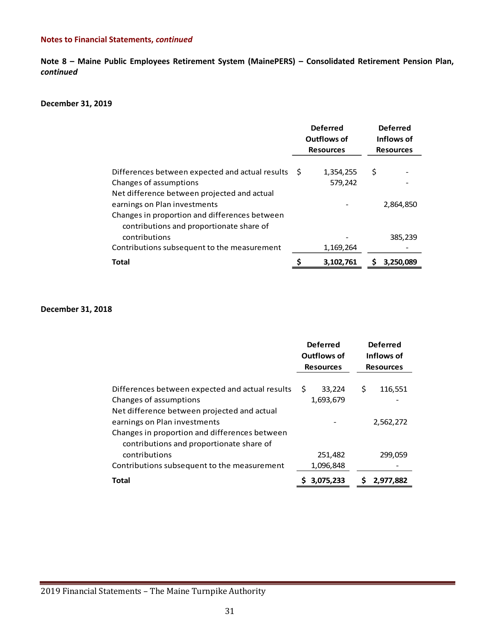**Note 8 – Maine Public Employees Retirement System (MainePERS) – Consolidated Retirement Pension Plan,**  *continued*

#### **December 31, 2019**

|                                                                                                                           | <b>Deferred</b><br>Outflows of<br><b>Resources</b> |                      | <b>Deferred</b><br>Inflows of<br><b>Resources</b> |           |
|---------------------------------------------------------------------------------------------------------------------------|----------------------------------------------------|----------------------|---------------------------------------------------|-----------|
| Differences between expected and actual results<br>Changes of assumptions<br>Net difference between projected and actual  | -S                                                 | 1,354,255<br>579,242 | \$                                                |           |
| earnings on Plan investments<br>Changes in proportion and differences between<br>contributions and proportionate share of |                                                    |                      |                                                   | 2,864,850 |
| contributions                                                                                                             |                                                    |                      |                                                   | 385,239   |
| Contributions subsequent to the measurement                                                                               |                                                    | 1,169,264            |                                                   |           |
| <b>Total</b>                                                                                                              |                                                    | 3,102,761            |                                                   | 3,250,089 |

#### **December 31, 2018**

|                                                                                                                           | <b>Deferred</b><br>Outflows of<br><b>Resources</b> | <b>Deferred</b><br>Inflows of<br><b>Resources</b> |
|---------------------------------------------------------------------------------------------------------------------------|----------------------------------------------------|---------------------------------------------------|
| Differences between expected and actual results<br>Changes of assumptions<br>Net difference between projected and actual  | \$.<br>33,224<br>1,693,679                         | \$<br>116,551                                     |
| earnings on Plan investments<br>Changes in proportion and differences between<br>contributions and proportionate share of |                                                    | 2,562,272                                         |
| contributions<br>Contributions subsequent to the measurement                                                              | 251,482<br>1,096,848                               | 299,059                                           |
| <b>Total</b>                                                                                                              | 3.075.233                                          | 2.977.882                                         |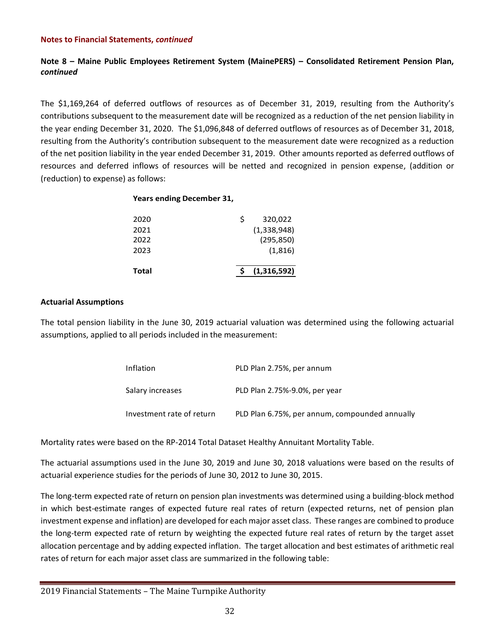### **Note 8 – Maine Public Employees Retirement System (MainePERS) – Consolidated Retirement Pension Plan,**  *continued*

The \$1,169,264 of deferred outflows of resources as of December 31, 2019, resulting from the Authority's contributions subsequent to the measurement date will be recognized as a reduction of the net pension liability in the year ending December 31, 2020. The \$1,096,848 of deferred outflows of resources as of December 31, 2018, resulting from the Authority's contribution subsequent to the measurement date were recognized as a reduction of the net position liability in the year ended December 31, 2019. Other amounts reported as deferred outflows of resources and deferred inflows of resources will be netted and recognized in pension expense, (addition or (reduction) to expense) as follows:

### **Years ending December 31,**

| 2023 |   | (1,816)     |
|------|---|-------------|
| 2022 |   | (295, 850)  |
| 2021 |   | (1,338,948) |
| 2020 | Ś | 320,022     |

### **Actuarial Assumptions**

The total pension liability in the June 30, 2019 actuarial valuation was determined using the following actuarial assumptions, applied to all periods included in the measurement:

| Inflation                 | PLD Plan 2.75%, per annum                      |
|---------------------------|------------------------------------------------|
| Salary increases          | PLD Plan 2.75%-9.0%, per year                  |
| Investment rate of return | PLD Plan 6.75%, per annum, compounded annually |

Mortality rates were based on the RP-2014 Total Dataset Healthy Annuitant Mortality Table.

The actuarial assumptions used in the June 30, 2019 and June 30, 2018 valuations were based on the results of actuarial experience studies for the periods of June 30, 2012 to June 30, 2015.

The long-term expected rate of return on pension plan investments was determined using a building-block method in which best-estimate ranges of expected future real rates of return (expected returns, net of pension plan investment expense and inflation) are developed for each major asset class. These ranges are combined to produce the long-term expected rate of return by weighting the expected future real rates of return by the target asset allocation percentage and by adding expected inflation. The target allocation and best estimates of arithmetic real rates of return for each major asset class are summarized in the following table: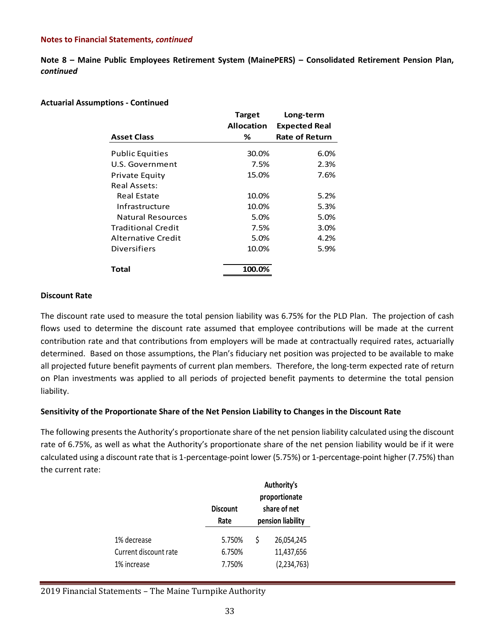**Note 8 – Maine Public Employees Retirement System (MainePERS) – Consolidated Retirement Pension Plan,**  *continued*

### **Actuarial Assumptions - Continued**

|                           | <b>Target</b>     | Long-term             |
|---------------------------|-------------------|-----------------------|
|                           | <b>Allocation</b> | <b>Expected Real</b>  |
| <b>Asset Class</b>        | ℅                 | <b>Rate of Return</b> |
| <b>Public Equities</b>    | 30.0%             | 6.0%                  |
| U.S. Government           | 7.5%              | 2.3%                  |
| <b>Private Equity</b>     | 15.0%             | 7.6%                  |
| <b>Real Assets:</b>       |                   |                       |
| Real Estate               | 10.0%             | 5.2%                  |
| Infrastructure            | 10.0%             | 5.3%                  |
| Natural Resources         | 5.0%              | 5.0%                  |
| <b>Traditional Credit</b> | 7.5%              | 3.0%                  |
| Alternative Credit        | 5.0%              | 4.2%                  |
| Diversifiers              | 10.0%             | 5.9%                  |
| <b>Total</b>              | 100.0%            |                       |

### **Discount Rate**

The discount rate used to measure the total pension liability was 6.75% for the PLD Plan. The projection of cash flows used to determine the discount rate assumed that employee contributions will be made at the current contribution rate and that contributions from employers will be made at contractually required rates, actuarially determined. Based on those assumptions, the Plan's fiduciary net position was projected to be available to make all projected future benefit payments of current plan members. Therefore, the long-term expected rate of return on Plan investments was applied to all periods of projected benefit payments to determine the total pension liability.

### **Sensitivity of the Proportionate Share of the Net Pension Liability to Changes in the Discount Rate**

The following presents the Authority's proportionate share of the net pension liability calculated using the discount rate of 6.75%, as well as what the Authority's proportionate share of the net pension liability would be if it were calculated using a discount rate that is 1-percentage-point lower (5.75%) or 1-percentage-point higher (7.75%) than the current rate:

|                       | <b>Discount</b><br>Rate |   | Authority's<br>proportionate<br>share of net<br>pension liability |
|-----------------------|-------------------------|---|-------------------------------------------------------------------|
| 1% decrease           | 5.750%                  | Ś | 26,054,245                                                        |
| Current discount rate | 6.750%                  |   | 11,437,656                                                        |
| 1% increase           | 7.750%                  |   | (2, 234, 763)                                                     |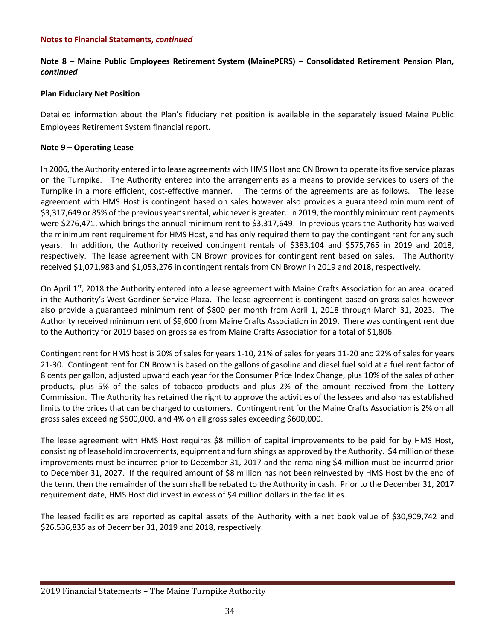### **Note 8 – Maine Public Employees Retirement System (MainePERS) – Consolidated Retirement Pension Plan,**  *continued*

### **Plan Fiduciary Net Position**

Detailed information about the Plan's fiduciary net position is available in the separately issued Maine Public Employees Retirement System financial report.

### **Note 9 – Operating Lease**

In 2006, the Authority entered into lease agreements with HMS Host and CN Brown to operate its five service plazas on the Turnpike. The Authority entered into the arrangements as a means to provide services to users of the Turnpike in a more efficient, cost-effective manner. The terms of the agreements are as follows. The lease agreement with HMS Host is contingent based on sales however also provides a guaranteed minimum rent of \$3,317,649 or 85% of the previous year's rental, whichever is greater. In 2019, the monthly minimum rent payments were \$276,471, which brings the annual minimum rent to \$3,317,649. In previous years the Authority has waived the minimum rent requirement for HMS Host, and has only required them to pay the contingent rent for any such years. In addition, the Authority received contingent rentals of \$383,104 and \$575,765 in 2019 and 2018, respectively. The lease agreement with CN Brown provides for contingent rent based on sales. The Authority received \$1,071,983 and \$1,053,276 in contingent rentals from CN Brown in 2019 and 2018, respectively.

On April 1<sup>st</sup>, 2018 the Authority entered into a lease agreement with Maine Crafts Association for an area located in the Authority's West Gardiner Service Plaza. The lease agreement is contingent based on gross sales however also provide a guaranteed minimum rent of \$800 per month from April 1, 2018 through March 31, 2023. The Authority received minimum rent of \$9,600 from Maine Crafts Association in 2019. There was contingent rent due to the Authority for 2019 based on gross sales from Maine Crafts Association for a total of \$1,806.

Contingent rent for HMS host is 20% of sales for years 1-10, 21% of sales for years 11-20 and 22% of sales for years 21-30. Contingent rent for CN Brown is based on the gallons of gasoline and diesel fuel sold at a fuel rent factor of 8 cents per gallon, adjusted upward each year for the Consumer Price Index Change, plus 10% of the sales of other products, plus 5% of the sales of tobacco products and plus 2% of the amount received from the Lottery Commission. The Authority has retained the right to approve the activities of the lessees and also has established limits to the prices that can be charged to customers. Contingent rent for the Maine Crafts Association is 2% on all gross sales exceeding \$500,000, and 4% on all gross sales exceeding \$600,000.

The lease agreement with HMS Host requires \$8 million of capital improvements to be paid for by HMS Host, consisting of leasehold improvements, equipment and furnishings as approved by the Authority. \$4 million of these improvements must be incurred prior to December 31, 2017 and the remaining \$4 million must be incurred prior to December 31, 2027. If the required amount of \$8 million has not been reinvested by HMS Host by the end of the term, then the remainder of the sum shall be rebated to the Authority in cash. Prior to the December 31, 2017 requirement date, HMS Host did invest in excess of \$4 million dollars in the facilities.

The leased facilities are reported as capital assets of the Authority with a net book value of \$30,909,742 and \$26,536,835 as of December 31, 2019 and 2018, respectively.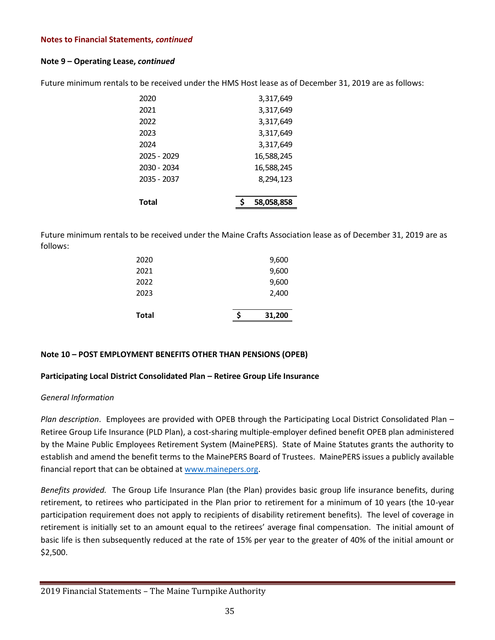### **Note 9 – Operating Lease,** *continued*

| Total       | 58,058,858 |
|-------------|------------|
| 2035 - 2037 | 8,294,123  |
| 2030 - 2034 | 16,588,245 |
| 2025 - 2029 | 16,588,245 |
| 2024        | 3,317,649  |
| 2023        | 3,317,649  |
| 2022        | 3,317,649  |
| 2021        | 3,317,649  |
| 2020        | 3,317,649  |

Future minimum rentals to be received under the HMS Host lease as of December 31, 2019 are as follows:

Future minimum rentals to be received under the Maine Crafts Association lease as of December 31, 2019 are as follows:

| Total | Ś | 31,200 |
|-------|---|--------|
| 2023  |   | 2,400  |
| 2022  |   | 9,600  |
| 2021  |   | 9,600  |
| 2020  |   | 9,600  |

### **Note 10 – POST EMPLOYMENT BENEFITS OTHER THAN PENSIONS (OPEB)**

### **Participating Local District Consolidated Plan – Retiree Group Life Insurance**

### *General Information*

*Plan description*. Employees are provided with OPEB through the Participating Local District Consolidated Plan – Retiree Group Life Insurance (PLD Plan), a cost-sharing multiple-employer defined benefit OPEB plan administered by the Maine Public Employees Retirement System (MainePERS). State of Maine Statutes grants the authority to establish and amend the benefit terms to the MainePERS Board of Trustees. MainePERS issues a publicly available financial report that can be obtained at [www.mainepers.org.](http://www.mainepers.org/)

*Benefits provided.* The Group Life Insurance Plan (the Plan) provides basic group life insurance benefits, during retirement, to retirees who participated in the Plan prior to retirement for a minimum of 10 years (the 10-year participation requirement does not apply to recipients of disability retirement benefits). The level of coverage in retirement is initially set to an amount equal to the retirees' average final compensation. The initial amount of basic life is then subsequently reduced at the rate of 15% per year to the greater of 40% of the initial amount or \$2,500.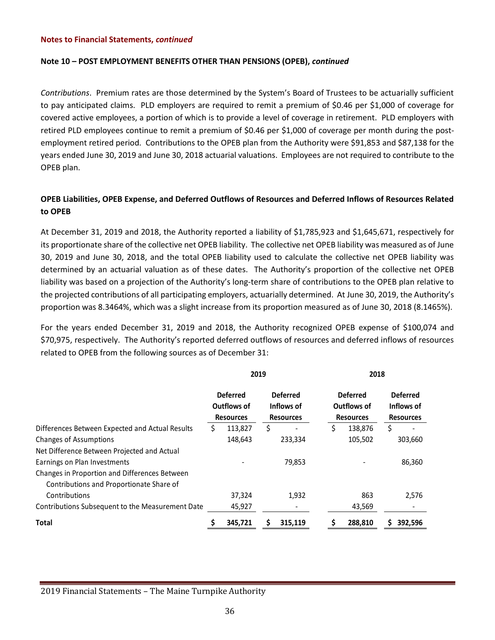#### **Note 10 – POST EMPLOYMENT BENEFITS OTHER THAN PENSIONS (OPEB),** *continued*

*Contributions*. Premium rates are those determined by the System's Board of Trustees to be actuarially sufficient to pay anticipated claims. PLD employers are required to remit a premium of \$0.46 per \$1,000 of coverage for covered active employees, a portion of which is to provide a level of coverage in retirement. PLD employers with retired PLD employees continue to remit a premium of \$0.46 per \$1,000 of coverage per month during the postemployment retired period. Contributions to the OPEB plan from the Authority were \$91,853 and \$87,138 for the years ended June 30, 2019 and June 30, 2018 actuarial valuations. Employees are not required to contribute to the OPEB plan.

### **OPEB Liabilities, OPEB Expense, and Deferred Outflows of Resources and Deferred Inflows of Resources Related to OPEB**

At December 31, 2019 and 2018, the Authority reported a liability of \$1,785,923 and \$1,645,671, respectively for its proportionate share of the collective net OPEB liability. The collective net OPEB liability was measured as of June 30, 2019 and June 30, 2018, and the total OPEB liability used to calculate the collective net OPEB liability was determined by an actuarial valuation as of these dates. The Authority's proportion of the collective net OPEB liability was based on a projection of the Authority's long-term share of contributions to the OPEB plan relative to the projected contributions of all participating employers, actuarially determined. At June 30, 2019, the Authority's proportion was 8.3464%, which was a slight increase from its proportion measured as of June 30, 2018 (8.1465%).

For the years ended December 31, 2019 and 2018, the Authority recognized OPEB expense of \$100,074 and \$70,975, respectively. The Authority's reported deferred outflows of resources and deferred inflows of resources related to OPEB from the following sources as of December 31:

|                                                  | 2019                                                      |                                                   |                                                           | 2018    |   |                                                   |  |  |
|--------------------------------------------------|-----------------------------------------------------------|---------------------------------------------------|-----------------------------------------------------------|---------|---|---------------------------------------------------|--|--|
|                                                  | <b>Deferred</b><br><b>Outflows of</b><br><b>Resources</b> | <b>Deferred</b><br>Inflows of<br><b>Resources</b> | <b>Deferred</b><br><b>Outflows of</b><br><b>Resources</b> |         |   | <b>Deferred</b><br>Inflows of<br><b>Resources</b> |  |  |
| Differences Between Expected and Actual Results  | 113,827                                                   | \$                                                | \$                                                        | 138,876 | Ś |                                                   |  |  |
| <b>Changes of Assumptions</b>                    | 148,643                                                   | 233,334                                           |                                                           | 105,502 |   | 303,660                                           |  |  |
| Net Difference Between Projected and Actual      |                                                           |                                                   |                                                           |         |   |                                                   |  |  |
| Earnings on Plan Investments                     |                                                           | 79,853                                            |                                                           |         |   | 86,360                                            |  |  |
| Changes in Proportion and Differences Between    |                                                           |                                                   |                                                           |         |   |                                                   |  |  |
| Contributions and Proportionate Share of         |                                                           |                                                   |                                                           |         |   |                                                   |  |  |
| Contributions                                    | 37,324                                                    | 1,932                                             |                                                           | 863     |   | 2,576                                             |  |  |
| Contributions Subsequent to the Measurement Date | 45,927                                                    |                                                   |                                                           | 43,569  |   |                                                   |  |  |
| <b>Total</b>                                     | 345,721                                                   | 315,119                                           |                                                           | 288,810 |   | 392,596                                           |  |  |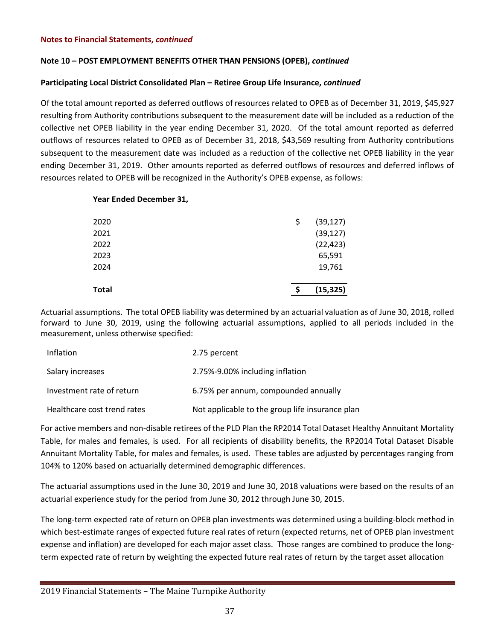### **Note 10 – POST EMPLOYMENT BENEFITS OTHER THAN PENSIONS (OPEB),** *continued*

### **Participating Local District Consolidated Plan – Retiree Group Life Insurance,** *continued*

Of the total amount reported as deferred outflows of resources related to OPEB as of December 31, 2019, \$45,927 resulting from Authority contributions subsequent to the measurement date will be included as a reduction of the collective net OPEB liability in the year ending December 31, 2020. Of the total amount reported as deferred outflows of resources related to OPEB as of December 31, 2018, \$43,569 resulting from Authority contributions subsequent to the measurement date was included as a reduction of the collective net OPEB liability in the year ending December 31, 2019. Other amounts reported as deferred outflows of resources and deferred inflows of resources related to OPEB will be recognized in the Authority's OPEB expense, as follows:

### **Year Ended December 31,**

| <b>Total</b> |     | (15, 325) |
|--------------|-----|-----------|
| 2024         |     | 19,761    |
| 2023         |     | 65,591    |
| 2022         |     | (22, 423) |
| 2021         |     | (39, 127) |
| 2020         | \$, | (39, 127) |
|              |     |           |

Actuarial assumptions. The total OPEB liability was determined by an actuarial valuation as of June 30, 2018, rolled forward to June 30, 2019, using the following actuarial assumptions, applied to all periods included in the measurement, unless otherwise specified:

| Inflation                   | 2.75 percent                                    |
|-----------------------------|-------------------------------------------------|
| Salary increases            | 2.75%-9.00% including inflation                 |
| Investment rate of return   | 6.75% per annum, compounded annually            |
| Healthcare cost trend rates | Not applicable to the group life insurance plan |

For active members and non-disable retirees of the PLD Plan the RP2014 Total Dataset Healthy Annuitant Mortality Table, for males and females, is used. For all recipients of disability benefits, the RP2014 Total Dataset Disable Annuitant Mortality Table, for males and females, is used. These tables are adjusted by percentages ranging from 104% to 120% based on actuarially determined demographic differences.

The actuarial assumptions used in the June 30, 2019 and June 30, 2018 valuations were based on the results of an actuarial experience study for the period from June 30, 2012 through June 30, 2015.

The long-term expected rate of return on OPEB plan investments was determined using a building-block method in which best-estimate ranges of expected future real rates of return (expected returns, net of OPEB plan investment expense and inflation) are developed for each major asset class. Those ranges are combined to produce the longterm expected rate of return by weighting the expected future real rates of return by the target asset allocation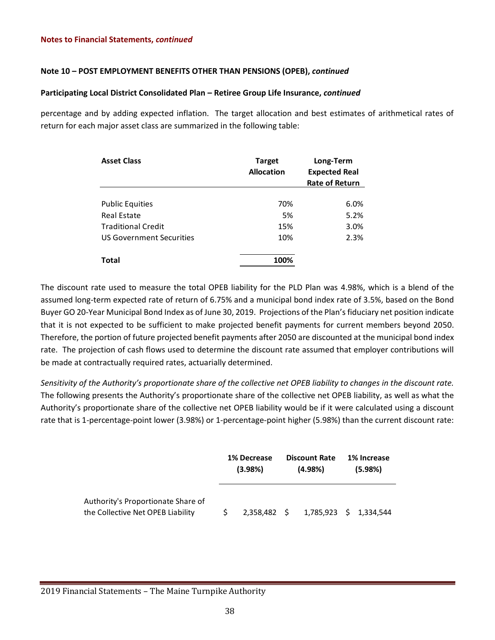### **Note 10 – POST EMPLOYMENT BENEFITS OTHER THAN PENSIONS (OPEB),** *continued*

### **Participating Local District Consolidated Plan – Retiree Group Life Insurance,** *continued*

percentage and by adding expected inflation. The target allocation and best estimates of arithmetical rates of return for each major asset class are summarized in the following table:

| <b>Asset Class</b>              | <b>Target</b><br><b>Allocation</b> | Long-Term<br><b>Expected Real</b><br><b>Rate of Return</b> |  |  |
|---------------------------------|------------------------------------|------------------------------------------------------------|--|--|
|                                 |                                    |                                                            |  |  |
| <b>Public Equities</b>          | 70%                                | 6.0%                                                       |  |  |
| Real Estate                     | 5%                                 | 5.2%                                                       |  |  |
| <b>Traditional Credit</b>       | 15%                                | 3.0%                                                       |  |  |
| <b>US Government Securities</b> | 10%                                | 2.3%                                                       |  |  |
| Total                           | 100%                               |                                                            |  |  |

The discount rate used to measure the total OPEB liability for the PLD Plan was 4.98%, which is a blend of the assumed long-term expected rate of return of 6.75% and a municipal bond index rate of 3.5%, based on the Bond Buyer GO 20-Year Municipal Bond Index as of June 30, 2019. Projections of the Plan's fiduciary net position indicate that it is not expected to be sufficient to make projected benefit payments for current members beyond 2050. Therefore, the portion of future projected benefit payments after 2050 are discounted at the municipal bond index rate. The projection of cash flows used to determine the discount rate assumed that employer contributions will be made at contractually required rates, actuarially determined.

*Sensitivity of the Authority's proportionate share of the collective net OPEB liability to changes in the discount rate.* The following presents the Authority's proportionate share of the collective net OPEB liability, as well as what the Authority's proportionate share of the collective net OPEB liability would be if it were calculated using a discount rate that is 1-percentage-point lower (3.98%) or 1-percentage-point higher (5.98%) than the current discount rate:

|                                                                         | 1% Decrease<br>(3.98%) |  | <b>Discount Rate</b><br>$(4.98\%)$  | 1% Increase<br>(5.98%) |
|-------------------------------------------------------------------------|------------------------|--|-------------------------------------|------------------------|
| Authority's Proportionate Share of<br>the Collective Net OPEB Liability |                        |  | 2,358,482 \$ 1,785,923 \$ 1,334,544 |                        |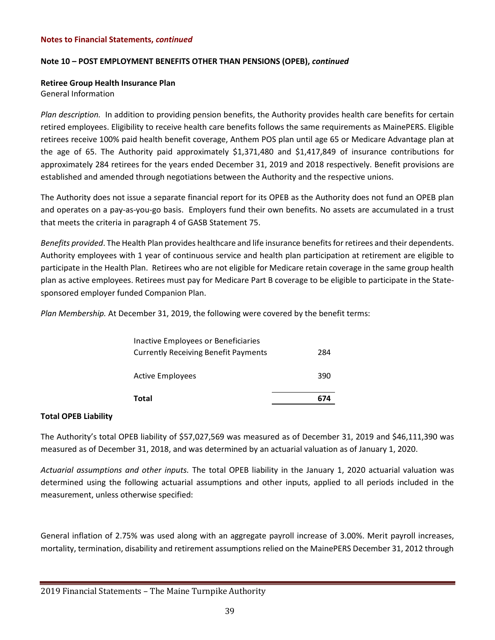### **Note 10 – POST EMPLOYMENT BENEFITS OTHER THAN PENSIONS (OPEB),** *continued*

# **Retiree Group Health Insurance Plan**

General Information

*Plan description.* In addition to providing pension benefits, the Authority provides health care benefits for certain retired employees. Eligibility to receive health care benefits follows the same requirements as MainePERS. Eligible retirees receive 100% paid health benefit coverage, Anthem POS plan until age 65 or Medicare Advantage plan at the age of 65. The Authority paid approximately \$1,371,480 and \$1,417,849 of insurance contributions for approximately 284 retirees for the years ended December 31, 2019 and 2018 respectively. Benefit provisions are established and amended through negotiations between the Authority and the respective unions.

The Authority does not issue a separate financial report for its OPEB as the Authority does not fund an OPEB plan and operates on a pay-as-you-go basis. Employers fund their own benefits. No assets are accumulated in a trust that meets the criteria in paragraph 4 of GASB Statement 75.

*Benefits provided*. The Health Plan provides healthcare and life insurance benefits for retirees and their dependents. Authority employees with 1 year of continuous service and health plan participation at retirement are eligible to participate in the Health Plan. Retirees who are not eligible for Medicare retain coverage in the same group health plan as active employees. Retirees must pay for Medicare Part B coverage to be eligible to participate in the Statesponsored employer funded Companion Plan.

*Plan Membership.* At December 31, 2019, the following were covered by the benefit terms:

| Total                                | 674 |
|--------------------------------------|-----|
| Active Employees                     | 390 |
| Currently Receiving Benefit Payments | 284 |
| Inactive Employees or Beneficiaries  |     |

### **Total OPEB Liability**

The Authority's total OPEB liability of \$57,027,569 was measured as of December 31, 2019 and \$46,111,390 was measured as of December 31, 2018, and was determined by an actuarial valuation as of January 1, 2020.

*Actuarial assumptions and other inputs.* The total OPEB liability in the January 1, 2020 actuarial valuation was determined using the following actuarial assumptions and other inputs, applied to all periods included in the measurement, unless otherwise specified:

General inflation of 2.75% was used along with an aggregate payroll increase of 3.00%. Merit payroll increases, mortality, termination, disability and retirement assumptions relied on the MainePERS December 31, 2012 through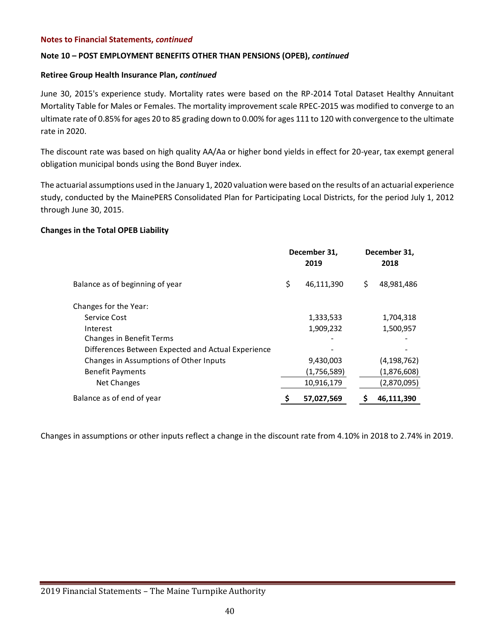### **Note 10 – POST EMPLOYMENT BENEFITS OTHER THAN PENSIONS (OPEB),** *continued*

### **Retiree Group Health Insurance Plan,** *continued*

June 30, 2015's experience study. Mortality rates were based on the RP-2014 Total Dataset Healthy Annuitant Mortality Table for Males or Females. The mortality improvement scale RPEC-2015 was modified to converge to an ultimate rate of 0.85% for ages 20 to 85 grading down to 0.00% for ages 111 to 120 with convergence to the ultimate rate in 2020.

The discount rate was based on high quality AA/Aa or higher bond yields in effect for 20-year, tax exempt general obligation municipal bonds using the Bond Buyer index.

The actuarial assumptions used in the January 1, 2020 valuation were based on the results of an actuarial experience study, conducted by the MainePERS Consolidated Plan for Participating Local Districts, for the period July 1, 2012 through June 30, 2015.

### **Changes in the Total OPEB Liability**

|                                                    | December 31,<br>2019 | December 31,<br>2018 |
|----------------------------------------------------|----------------------|----------------------|
| Balance as of beginning of year                    | \$<br>46,111,390     | \$<br>48,981,486     |
| Changes for the Year:                              |                      |                      |
| Service Cost                                       | 1,333,533            | 1,704,318            |
| Interest                                           | 1,909,232            | 1,500,957            |
| <b>Changes in Benefit Terms</b>                    |                      |                      |
| Differences Between Expected and Actual Experience |                      |                      |
| Changes in Assumptions of Other Inputs             | 9,430,003            | (4,198,762)          |
| <b>Benefit Payments</b>                            | (1,756,589)          | (1,876,608)          |
| Net Changes                                        | 10,916,179           | (2,870,095)          |
| Balance as of end of year                          | \$<br>57,027,569     | 46,111,390           |

Changes in assumptions or other inputs reflect a change in the discount rate from 4.10% in 2018 to 2.74% in 2019.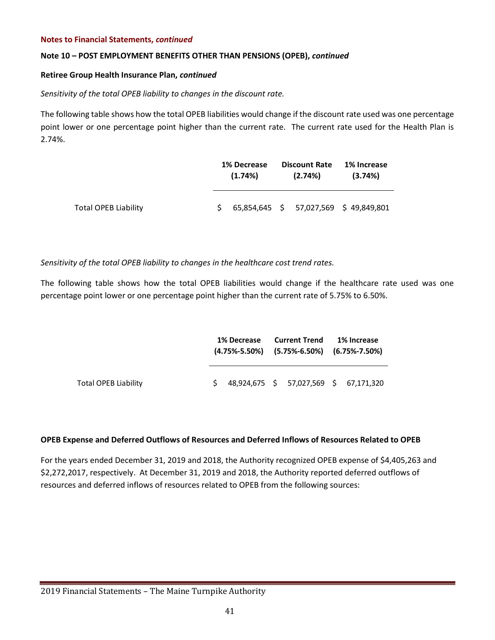### **Note 10 – POST EMPLOYMENT BENEFITS OTHER THAN PENSIONS (OPEB),** *continued*

### **Retiree Group Health Insurance Plan,** *continued*

### *Sensitivity of the total OPEB liability to changes in the discount rate.*

The following table shows how the total OPEB liabilities would change if the discount rate used was one percentage point lower or one percentage point higher than the current rate. The current rate used for the Health Plan is 2.74%.

|                             |    | <b>1% Decrease</b><br>$(1.74\%)$ |  | <b>Discount Rate</b><br>$(2.74\%)$ | 1% Increase<br>(3.74%)                 |
|-----------------------------|----|----------------------------------|--|------------------------------------|----------------------------------------|
| <b>Total OPEB Liability</b> | S. |                                  |  |                                    | 65,854,645 \$ 57,027,569 \$ 49,849,801 |

*Sensitivity of the total OPEB liability to changes in the healthcare cost trend rates.* 

The following table shows how the total OPEB liabilities would change if the healthcare rate used was one percentage point lower or one percentage point higher than the current rate of 5.75% to 6.50%.

|                             | 1% Decrease<br>$(4.75\% - 5.50\%)$ $(5.75\% - 6.50\%)$ $(6.75\% - 7.50\%)$ |                                         | <b>Current Trend</b> | 1% Increase |  |  |
|-----------------------------|----------------------------------------------------------------------------|-----------------------------------------|----------------------|-------------|--|--|
| <b>Total OPEB Liability</b> |                                                                            | $$48,924,675$ \$57,027,569 \$67,171,320 |                      |             |  |  |

### **OPEB Expense and Deferred Outflows of Resources and Deferred Inflows of Resources Related to OPEB**

For the years ended December 31, 2019 and 2018, the Authority recognized OPEB expense of \$4,405,263 and \$2,272,2017, respectively. At December 31, 2019 and 2018, the Authority reported deferred outflows of resources and deferred inflows of resources related to OPEB from the following sources: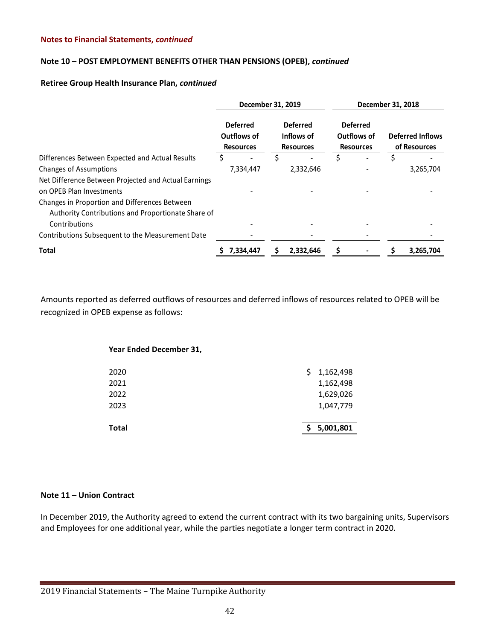### **Note 10 – POST EMPLOYMENT BENEFITS OTHER THAN PENSIONS (OPEB),** *continued*

### **Retiree Group Health Insurance Plan,** *continued*

|                                                      | December 31, 2019 |                                                    |    |                                                   |   | December 31, 2018                                  |  |                                         |  |
|------------------------------------------------------|-------------------|----------------------------------------------------|----|---------------------------------------------------|---|----------------------------------------------------|--|-----------------------------------------|--|
|                                                      |                   | <b>Deferred</b><br>Outflows of<br><b>Resources</b> |    | <b>Deferred</b><br>Inflows of<br><b>Resources</b> |   | <b>Deferred</b><br>Outflows of<br><b>Resources</b> |  | <b>Deferred Inflows</b><br>of Resources |  |
| Differences Between Expected and Actual Results      | S                 |                                                    | \$ |                                                   | S |                                                    |  |                                         |  |
| <b>Changes of Assumptions</b>                        |                   | 7,334,447                                          |    | 2,332,646                                         |   |                                                    |  | 3,265,704                               |  |
| Net Difference Between Projected and Actual Earnings |                   |                                                    |    |                                                   |   |                                                    |  |                                         |  |
| on OPEB Plan Investments                             |                   |                                                    |    |                                                   |   |                                                    |  |                                         |  |
| Changes in Proportion and Differences Between        |                   |                                                    |    |                                                   |   |                                                    |  |                                         |  |
| Authority Contributions and Proportionate Share of   |                   |                                                    |    |                                                   |   |                                                    |  |                                         |  |
| Contributions                                        |                   |                                                    |    |                                                   |   |                                                    |  |                                         |  |
| Contributions Subsequent to the Measurement Date     |                   |                                                    |    |                                                   |   |                                                    |  |                                         |  |
| <b>Total</b>                                         |                   | 7,334,447                                          |    | 2,332,646                                         |   |                                                    |  | 3,265,704                               |  |

Amounts reported as deferred outflows of resources and deferred inflows of resources related to OPEB will be recognized in OPEB expense as follows:

| Year Ended December 31, |   |           |
|-------------------------|---|-----------|
| 2020                    | S | 1,162,498 |
| 2021                    |   | 1,162,498 |
| 2022                    |   | 1,629,026 |
| 2023                    |   | 1,047,779 |
|                         |   |           |
| Total                   |   | 5,001,801 |

### **Note 11 – Union Contract**

In December 2019, the Authority agreed to extend the current contract with its two bargaining units, Supervisors and Employees for one additional year, while the parties negotiate a longer term contract in 2020.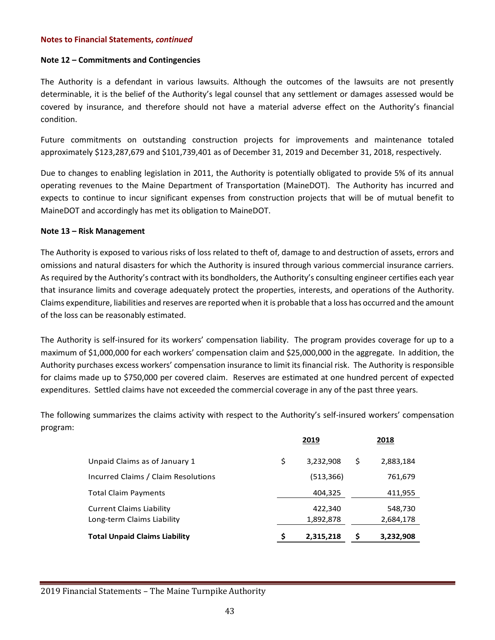### **Note 12 – Commitments and Contingencies**

The Authority is a defendant in various lawsuits. Although the outcomes of the lawsuits are not presently determinable, it is the belief of the Authority's legal counsel that any settlement or damages assessed would be covered by insurance, and therefore should not have a material adverse effect on the Authority's financial condition.

Future commitments on outstanding construction projects for improvements and maintenance totaled approximately \$123,287,679 and \$101,739,401 as of December 31, 2019 and December 31, 2018, respectively.

Due to changes to enabling legislation in 2011, the Authority is potentially obligated to provide 5% of its annual operating revenues to the Maine Department of Transportation (MaineDOT). The Authority has incurred and expects to continue to incur significant expenses from construction projects that will be of mutual benefit to MaineDOT and accordingly has met its obligation to MaineDOT.

### **Note 13 – Risk Management**

The Authority is exposed to various risks of loss related to theft of, damage to and destruction of assets, errors and omissions and natural disasters for which the Authority is insured through various commercial insurance carriers. As required by the Authority's contract with its bondholders, the Authority's consulting engineer certifies each year that insurance limits and coverage adequately protect the properties, interests, and operations of the Authority. Claims expenditure, liabilities and reserves are reported when it is probable that a loss has occurred and the amount of the loss can be reasonably estimated.

The Authority is self-insured for its workers' compensation liability. The program provides coverage for up to a maximum of \$1,000,000 for each workers' compensation claim and \$25,000,000 in the aggregate. In addition, the Authority purchases excess workers' compensation insurance to limit its financial risk. The Authority is responsible for claims made up to \$750,000 per covered claim. Reserves are estimated at one hundred percent of expected expenditures. Settled claims have not exceeded the commercial coverage in any of the past three years.

The following summarizes the claims activity with respect to the Authority's self-insured workers' compensation program:

|                                      | 2019            |    | 2018      |
|--------------------------------------|-----------------|----|-----------|
| Unpaid Claims as of January 1        | \$<br>3,232,908 | \$ | 2,883,184 |
| Incurred Claims / Claim Resolutions  | (513,366)       |    | 761,679   |
| <b>Total Claim Payments</b>          | 404,325         |    | 411,955   |
| <b>Current Claims Liability</b>      | 422,340         |    | 548,730   |
| Long-term Claims Liability           | 1,892,878       |    | 2,684,178 |
| <b>Total Unpaid Claims Liability</b> | 2,315,218       | S  | 3,232,908 |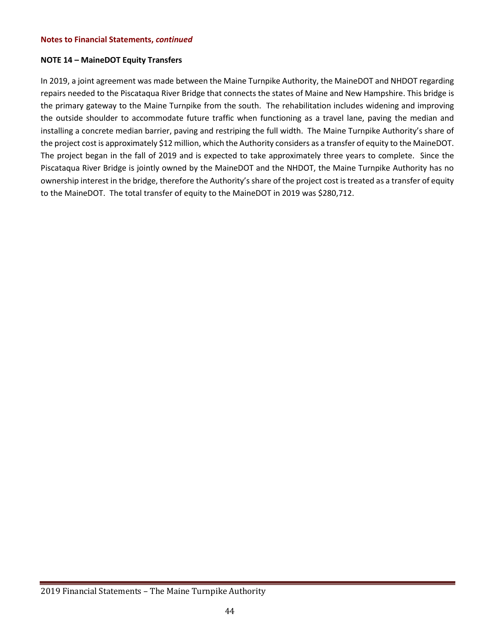### **NOTE 14 – MaineDOT Equity Transfers**

In 2019, a joint agreement was made between the Maine Turnpike Authority, the MaineDOT and NHDOT regarding repairs needed to the Piscataqua River Bridge that connects the states of Maine and New Hampshire. This bridge is the primary gateway to the Maine Turnpike from the south. The rehabilitation includes widening and improving the outside shoulder to accommodate future traffic when functioning as a travel lane, paving the median and installing a concrete median barrier, paving and restriping the full width. The Maine Turnpike Authority's share of the project cost is approximately \$12 million, which the Authority considers as a transfer of equity to the MaineDOT. The project began in the fall of 2019 and is expected to take approximately three years to complete. Since the Piscataqua River Bridge is jointly owned by the MaineDOT and the NHDOT, the Maine Turnpike Authority has no ownership interest in the bridge, therefore the Authority's share of the project cost is treated as a transfer of equity to the MaineDOT. The total transfer of equity to the MaineDOT in 2019 was \$280,712.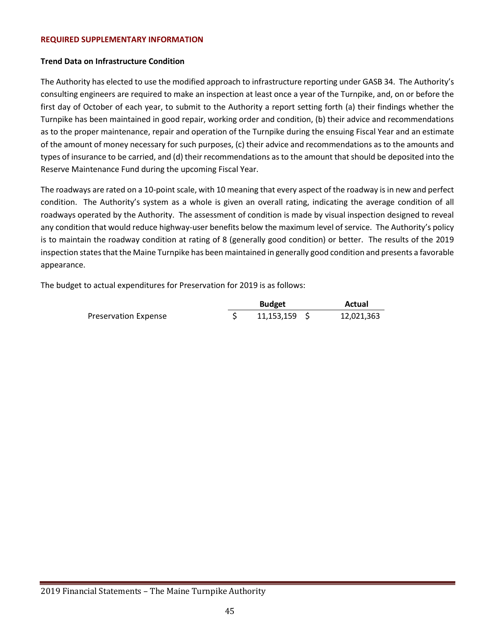#### **REQUIRED SUPPLEMENTARY INFORMATION**

### **Trend Data on Infrastructure Condition**

The Authority has elected to use the modified approach to infrastructure reporting under GASB 34. The Authority's consulting engineers are required to make an inspection at least once a year of the Turnpike, and, on or before the first day of October of each year, to submit to the Authority a report setting forth (a) their findings whether the Turnpike has been maintained in good repair, working order and condition, (b) their advice and recommendations as to the proper maintenance, repair and operation of the Turnpike during the ensuing Fiscal Year and an estimate of the amount of money necessary for such purposes, (c) their advice and recommendations as to the amounts and types of insurance to be carried, and (d) their recommendations as to the amount that should be deposited into the Reserve Maintenance Fund during the upcoming Fiscal Year.

The roadways are rated on a 10-point scale, with 10 meaning that every aspect of the roadway is in new and perfect condition. The Authority's system as a whole is given an overall rating, indicating the average condition of all roadways operated by the Authority. The assessment of condition is made by visual inspection designed to reveal any condition that would reduce highway-user benefits below the maximum level of service. The Authority's policy is to maintain the roadway condition at rating of 8 (generally good condition) or better. The results of the 2019 inspection states that the Maine Turnpike has been maintained in generally good condition and presents a favorable appearance.

The budget to actual expenditures for Preservation for 2019 is as follows:

|                      | <b>Budget</b> | Actual     |  |  |
|----------------------|---------------|------------|--|--|
| Preservation Expense | 11,153,159    | 12,021,363 |  |  |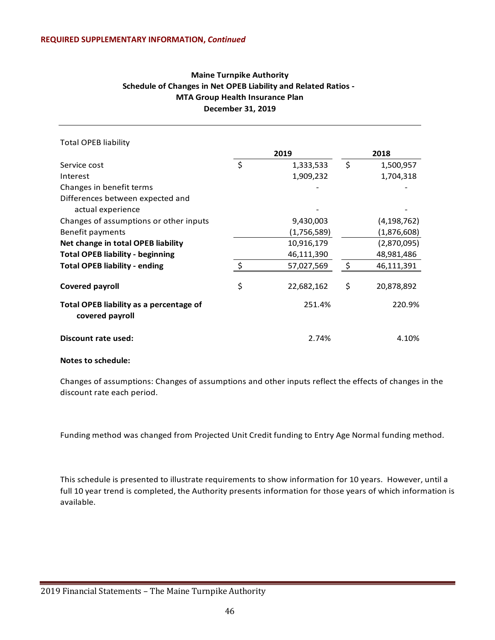### **Maine Turnpike Authority Schedule of Changes in Net OPEB Liability and Related Ratios - MTA Group Health Insurance Plan December 31, 2019**

| <b>Total OPEB liability</b>                                |         |             |    |               |
|------------------------------------------------------------|---------|-------------|----|---------------|
|                                                            |         | 2019        |    | 2018          |
| Service cost                                               | $\zeta$ | 1,333,533   | \$ | 1,500,957     |
| Interest                                                   |         | 1,909,232   |    | 1,704,318     |
| Changes in benefit terms                                   |         |             |    |               |
| Differences between expected and                           |         |             |    |               |
| actual experience                                          |         |             |    |               |
| Changes of assumptions or other inputs                     |         | 9,430,003   |    | (4, 198, 762) |
| Benefit payments                                           |         | (1,756,589) |    | (1,876,608)   |
| Net change in total OPEB liability                         |         | 10,916,179  |    | (2,870,095)   |
| <b>Total OPEB liability - beginning</b>                    |         | 46,111,390  |    | 48,981,486    |
| <b>Total OPEB liability - ending</b>                       | $\leq$  | 57,027,569  | ς. | 46,111,391    |
| Covered payroll                                            | \$      | 22,682,162  | \$ | 20,878,892    |
| Total OPEB liability as a percentage of<br>covered payroll |         | 251.4%      |    | 220.9%        |
| Discount rate used:                                        |         | 2.74%       |    | 4.10%         |

#### **Notes to schedule:**

Changes of assumptions: Changes of assumptions and other inputs reflect the effects of changes in the discount rate each period.

Funding method was changed from Projected Unit Credit funding to Entry Age Normal funding method.

This schedule is presented to illustrate requirements to show information for 10 years. However, until a full 10 year trend is completed, the Authority presents information for those years of which information is available.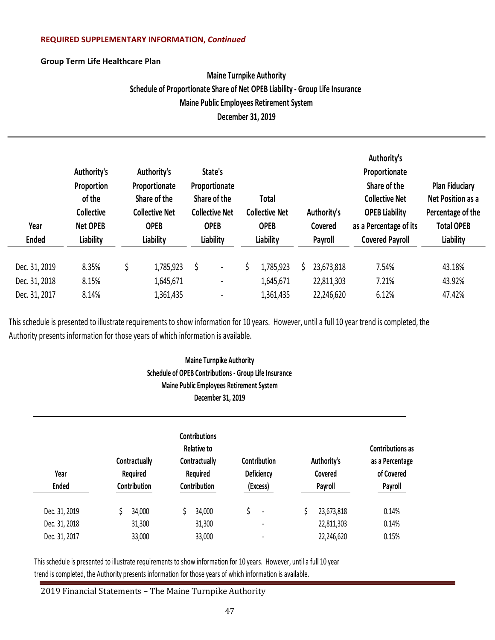### **REQUIRED SUPPLEMENTARY INFORMATION,** *Continued*

### **Group Term Life Healthcare Plan**

# **Maine Turnpike Authority Schedule of Proportionate Share of Net OPEB Liability - Group Life Insurance Maine Public Employees Retirement System December 31, 2019**

| Year<br><b>Ended</b> | Authority's<br>Proportion<br>of the<br><b>Collective</b><br><b>Net OPEB</b><br>Liability | Authority's<br>Proportionate<br>Share of the<br><b>Collective Net</b><br><b>OPEB</b><br>Liability | State's<br>Proportionate<br>Share of the<br><b>Collective Net</b><br><b>OPEB</b><br>Liability | Total<br><b>Collective Net</b><br><b>OPEB</b><br>Liability |    | Authority's<br>Covered<br>Payroll | Authority's<br>Proportionate<br>Share of the<br><b>Collective Net</b><br><b>OPEB Liability</b><br>as a Percentage of its<br><b>Covered Payroll</b> | <b>Plan Fiduciary</b><br>Net Position as a<br>Percentage of the<br><b>Total OPEB</b><br>Liability |
|----------------------|------------------------------------------------------------------------------------------|---------------------------------------------------------------------------------------------------|-----------------------------------------------------------------------------------------------|------------------------------------------------------------|----|-----------------------------------|----------------------------------------------------------------------------------------------------------------------------------------------------|---------------------------------------------------------------------------------------------------|
| Dec. 31, 2019        | 8.35%                                                                                    | \$<br>1,785,923                                                                                   |                                                                                               | 1,785,923                                                  | S. | 23,673,818                        | 7.54%                                                                                                                                              | 43.18%                                                                                            |
| Dec. 31, 2018        | 8.15%                                                                                    | 1,645,671                                                                                         | $\blacksquare$                                                                                | 1,645,671                                                  |    | 22,811,303                        | 7.21%                                                                                                                                              | 43.92%                                                                                            |
| Dec. 31, 2017        | 8.14%                                                                                    | 1,361,435                                                                                         | $\overline{\phantom{a}}$                                                                      | 1,361,435                                                  |    | 22,246,620                        | 6.12%                                                                                                                                              | 47.42%                                                                                            |

This schedule is presented to illustrate requirements to show information for 10 years. However, until a full 10 year trend is completed, the Authority presents information for those years of which information is available.

# **Maine Turnpike Authority Schedule of OPEB Contributions - Group Life Insurance Maine Public Employees Retirement System December 31, 2019**

| Year<br><b>Ended</b> | Contractually<br>Required<br>Contribution | <b>Contributions</b><br><b>Relative to</b><br>Contribution<br>Contractually<br>Deficiency<br>Required<br>Contribution<br>(Excess) |    |                          | Authority's<br>Covered<br>Payroll | <b>Contributions as</b><br>as a Percentage<br>of Covered<br>Payroll |  |
|----------------------|-------------------------------------------|-----------------------------------------------------------------------------------------------------------------------------------|----|--------------------------|-----------------------------------|---------------------------------------------------------------------|--|
| Dec. 31, 2019        | 34,000                                    | 34,000                                                                                                                            | \$ | $\blacksquare$           | 23,673,818                        | 0.14%                                                               |  |
| Dec. 31, 2018        | 31,300                                    | 31,300                                                                                                                            |    | $\overline{\phantom{0}}$ | 22,811,303                        | 0.14%                                                               |  |
| Dec. 31, 2017        | 33,000                                    | 33,000                                                                                                                            |    |                          | 22,246,620                        | 0.15%                                                               |  |

This schedule is presented to illustrate requirements to show information for 10 years. However, until a full 10 year trend is completed, the Authority presents information for those years of which information is available.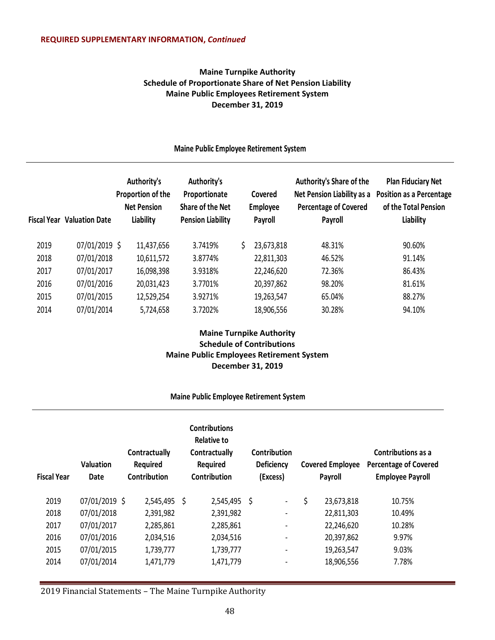### **Maine Turnpike Authority Schedule of Proportionate Share of Net Pension Liability Maine Public Employees Retirement System December 31, 2019**

### **Maine Public Employee Retirement System**

|      | <b>Fiscal Year Valuation Date</b> | Authority's<br>Proportion of the<br><b>Net Pension</b><br>Liability | Authority's<br>Proportionate<br>Share of the Net<br><b>Pension Liability</b> | Covered<br>Employee<br>Payroll | Authority's Share of the<br>Net Pension Liability as a<br><b>Percentage of Covered</b><br>Payroll | <b>Plan Fiduciary Net</b><br><b>Position as a Percentage</b><br>of the Total Pension<br>Liability |
|------|-----------------------------------|---------------------------------------------------------------------|------------------------------------------------------------------------------|--------------------------------|---------------------------------------------------------------------------------------------------|---------------------------------------------------------------------------------------------------|
| 2019 | 07/01/2019 \$                     | 11,437,656                                                          | 3.7419%                                                                      | 23,673,818                     | 48.31%                                                                                            | 90.60%                                                                                            |
| 2018 | 07/01/2018                        | 10,611,572                                                          | 3.8774%                                                                      | 22,811,303                     | 46.52%                                                                                            | 91.14%                                                                                            |
| 2017 | 07/01/2017                        | 16,098,398                                                          | 3.9318%                                                                      | 22,246,620                     | 72.36%                                                                                            | 86.43%                                                                                            |
| 2016 | 07/01/2016                        | 20,031,423                                                          | 3.7701%                                                                      | 20,397,862                     | 98.20%                                                                                            | 81.61%                                                                                            |
| 2015 | 07/01/2015                        | 12,529,254                                                          | 3.9271%                                                                      | 19,263,547                     | 65.04%                                                                                            | 88.27%                                                                                            |
| 2014 | 07/01/2014                        | 5,724,658                                                           | 3.7202%                                                                      | 18,906,556                     | 30.28%                                                                                            | 94.10%                                                                                            |

### **Maine Turnpike Authority Schedule of Contributions Maine Public Employees Retirement System December 31, 2019**

### **Maine Public Employee Retirement System**

| <b>Fiscal Year</b> | <b>Valuation</b><br>Date | Contractually<br><b>Required</b><br>Contribution |     | <b>Contributions</b><br>Relative to<br>Contractually<br>Required<br>Contribution |      | Contribution<br><b>Deficiency</b><br>(Excess) | <b>Covered Employee</b><br>Payroll | Contributions as a<br><b>Percentage of Covered</b><br><b>Employee Payroll</b> |
|--------------------|--------------------------|--------------------------------------------------|-----|----------------------------------------------------------------------------------|------|-----------------------------------------------|------------------------------------|-------------------------------------------------------------------------------|
| 2019               | 07/01/2019 \$            | 2,545,495                                        | \$. | 2,545,495                                                                        | - \$ | $\overline{\phantom{a}}$                      | \$<br>23,673,818                   | 10.75%                                                                        |
| 2018               | 07/01/2018               | 2,391,982                                        |     | 2,391,982                                                                        |      | $\overline{\phantom{a}}$                      | 22,811,303                         | 10.49%                                                                        |
| 2017               | 07/01/2017               | 2,285,861                                        |     | 2,285,861                                                                        |      | $\overline{\phantom{a}}$                      | 22,246,620                         | 10.28%                                                                        |
| 2016               | 07/01/2016               | 2,034,516                                        |     | 2,034,516                                                                        |      | $\overline{\phantom{a}}$                      | 20,397,862                         | 9.97%                                                                         |
| 2015               | 07/01/2015               | 1,739,777                                        |     | 1,739,777                                                                        |      | $\overline{\phantom{a}}$                      | 19,263,547                         | 9.03%                                                                         |
| 2014               | 07/01/2014               | 1,471,779                                        |     | 1,471,779                                                                        |      | $\overline{\phantom{a}}$                      | 18,906,556                         | 7.78%                                                                         |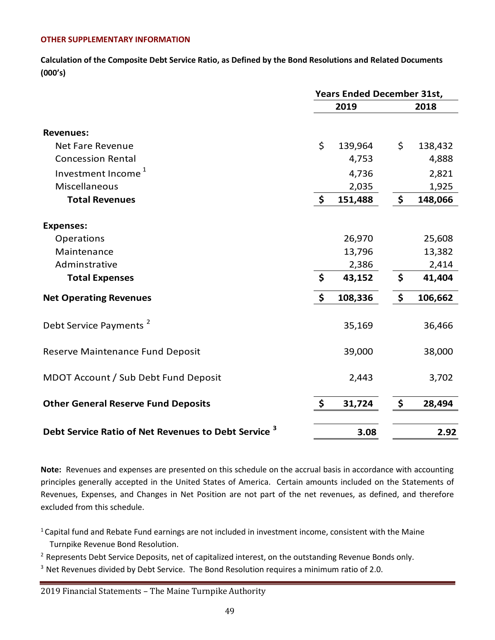### **OTHER SUPPLEMENTARY INFORMATION**

**Calculation of the Composite Debt Service Ratio, as Defined by the Bond Resolutions and Related Documents (000's)**

|                                                                 | <b>Years Ended December 31st,</b> |         |    |         |  |  |
|-----------------------------------------------------------------|-----------------------------------|---------|----|---------|--|--|
|                                                                 |                                   | 2019    |    | 2018    |  |  |
| <b>Revenues:</b>                                                |                                   |         |    |         |  |  |
| <b>Net Fare Revenue</b>                                         | \$                                | 139,964 | \$ | 138,432 |  |  |
| <b>Concession Rental</b>                                        |                                   | 4,753   |    | 4,888   |  |  |
| Investment Income <sup>1</sup>                                  |                                   | 4,736   |    | 2,821   |  |  |
| Miscellaneous                                                   |                                   | 2,035   |    | 1,925   |  |  |
| <b>Total Revenues</b>                                           | $\boldsymbol{\zeta}$              | 151,488 | \$ | 148,066 |  |  |
| <b>Expenses:</b>                                                |                                   |         |    |         |  |  |
| Operations                                                      |                                   | 26,970  |    | 25,608  |  |  |
| Maintenance                                                     |                                   | 13,796  |    | 13,382  |  |  |
| Adminstrative                                                   |                                   | 2,386   |    | 2,414   |  |  |
| <b>Total Expenses</b>                                           | \$                                | 43,152  | \$ | 41,404  |  |  |
| <b>Net Operating Revenues</b>                                   | \$                                | 108,336 | \$ | 106,662 |  |  |
| Debt Service Payments <sup>2</sup>                              |                                   | 35,169  |    | 36,466  |  |  |
| Reserve Maintenance Fund Deposit                                |                                   | 39,000  |    | 38,000  |  |  |
| MDOT Account / Sub Debt Fund Deposit                            |                                   | 2,443   |    | 3,702   |  |  |
| <b>Other General Reserve Fund Deposits</b>                      | \$                                | 31,724  | \$ | 28,494  |  |  |
| Debt Service Ratio of Net Revenues to Debt Service <sup>3</sup> |                                   | 3.08    |    | 2.92    |  |  |

**Note:** Revenues and expenses are presented on this schedule on the accrual basis in accordance with accounting principles generally accepted in the United States of America. Certain amounts included on the Statements of Revenues, Expenses, and Changes in Net Position are not part of the net revenues, as defined, and therefore excluded from this schedule.

<sup>1</sup> Capital fund and Rebate Fund earnings are not included in investment income, consistent with the Maine Turnpike Revenue Bond Resolution.

<sup>2</sup> Represents Debt Service Deposits, net of capitalized interest, on the outstanding Revenue Bonds only.

 $3$  Net Revenues divided by Debt Service. The Bond Resolution requires a minimum ratio of 2.0.